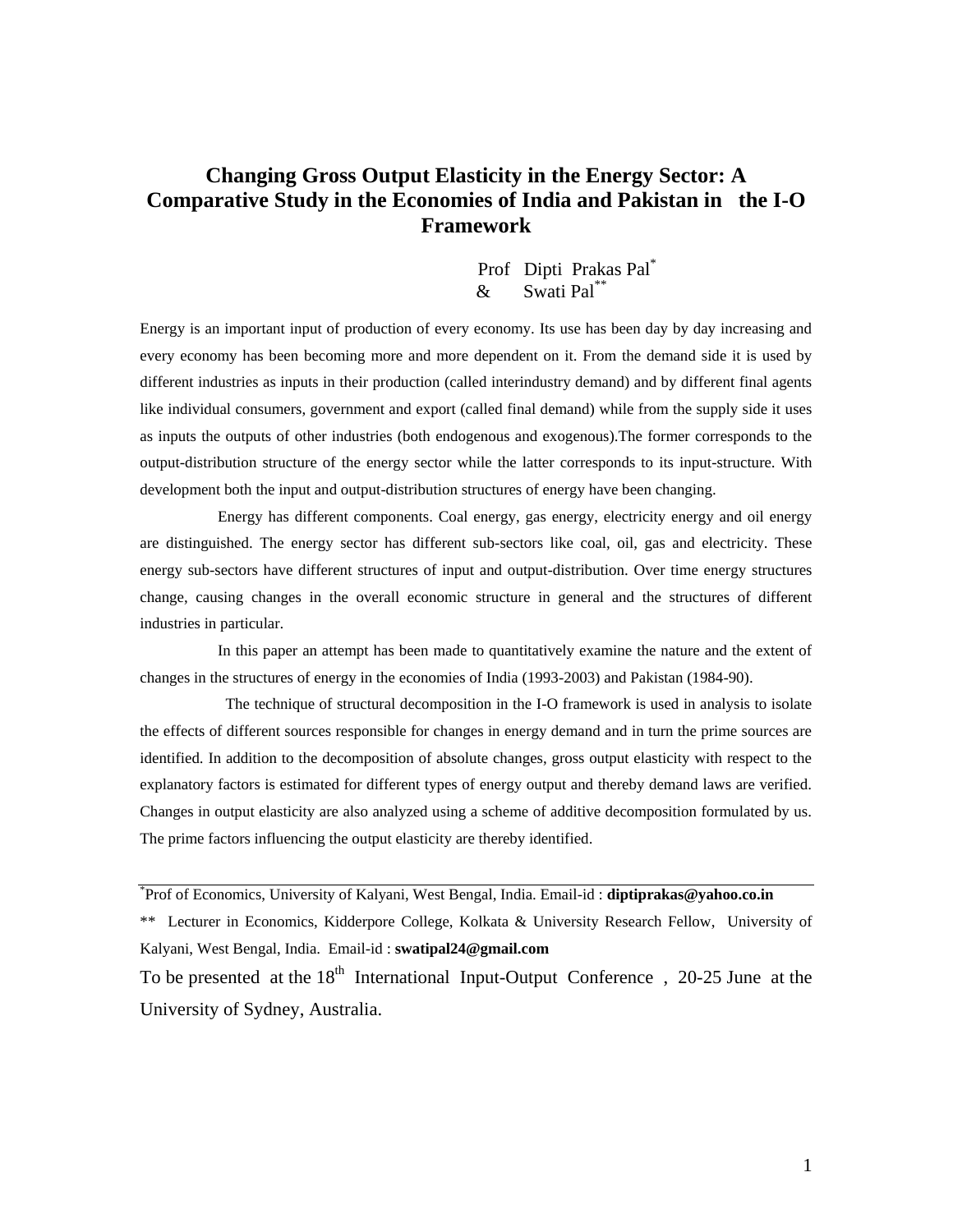## **Changing Gross Output Elasticity in the Energy Sector: A Comparative Study in the Economies of India and Pakistan in the I-O Framework**

 Prof Dipti Prakas Pal\*  $\&$  Swati Pal<sup>\*\*</sup>

Energy is an important input of production of every economy. Its use has been day by day increasing and every economy has been becoming more and more dependent on it. From the demand side it is used by different industries as inputs in their production (called interindustry demand) and by different final agents like individual consumers, government and export (called final demand) while from the supply side it uses as inputs the outputs of other industries (both endogenous and exogenous).The former corresponds to the output-distribution structure of the energy sector while the latter corresponds to its input-structure. With development both the input and output-distribution structures of energy have been changing.

 Energy has different components. Coal energy, gas energy, electricity energy and oil energy are distinguished. The energy sector has different sub-sectors like coal, oil, gas and electricity. These energy sub-sectors have different structures of input and output-distribution. Over time energy structures change, causing changes in the overall economic structure in general and the structures of different industries in particular.

 In this paper an attempt has been made to quantitatively examine the nature and the extent of changes in the structures of energy in the economies of India (1993-2003) and Pakistan (1984-90).

 The technique of structural decomposition in the I-O framework is used in analysis to isolate the effects of different sources responsible for changes in energy demand and in turn the prime sources are identified. In addition to the decomposition of absolute changes, gross output elasticity with respect to the explanatory factors is estimated for different types of energy output and thereby demand laws are verified. Changes in output elasticity are also analyzed using a scheme of additive decomposition formulated by us. The prime factors influencing the output elasticity are thereby identified.

\* Prof of Economics, University of Kalyani, West Bengal, India. Email-id : **diptiprakas@yahoo.co.in**

\*\* Lecturer in Economics, Kidderpore College, Kolkata & University Research Fellow, University of Kalyani, West Bengal, India. Email-id : **swatipal24@gmail.com**

To be presented at the  $18<sup>th</sup>$  International Input-Output Conference, 20-25 June at the University of Sydney, Australia.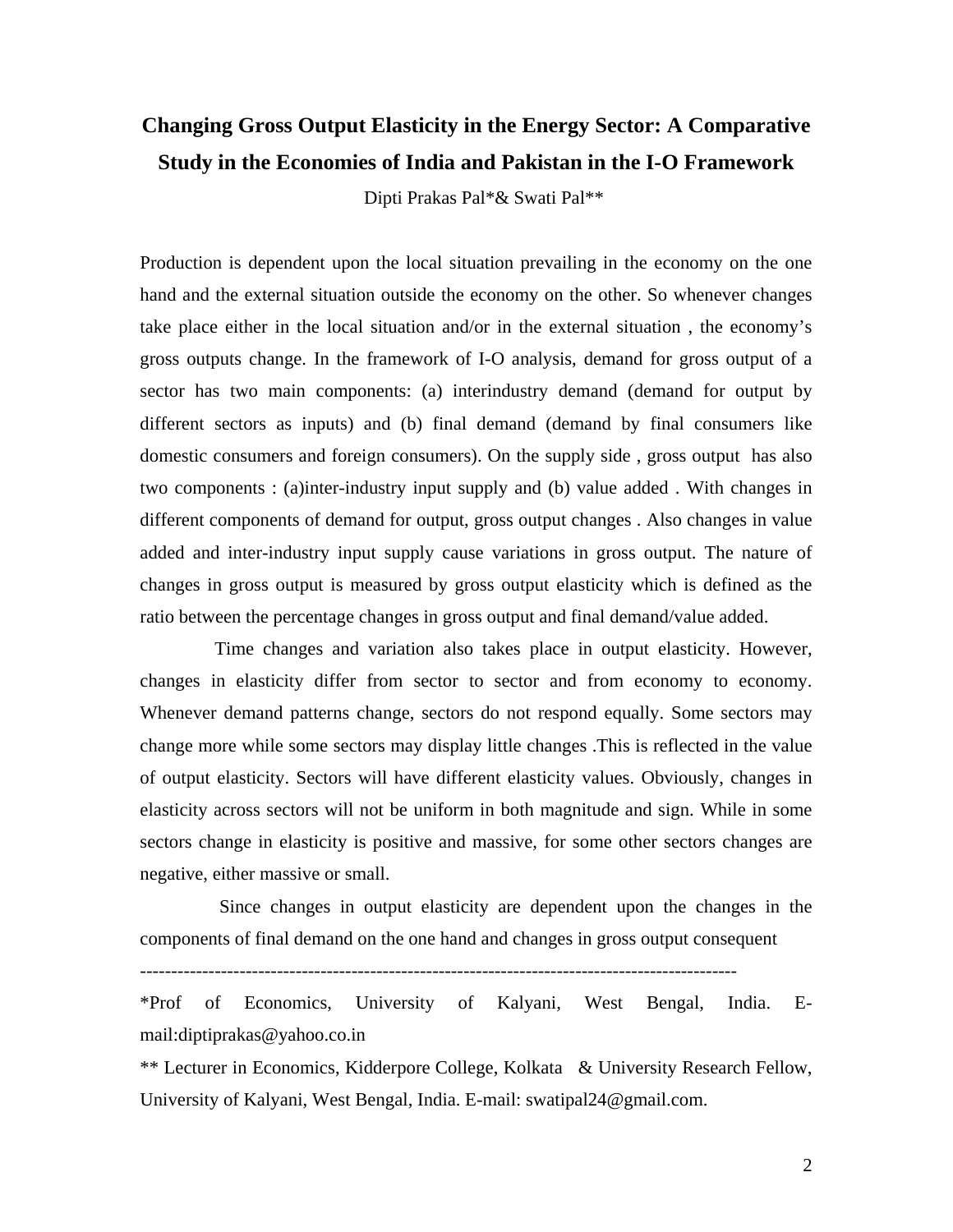# **Changing Gross Output Elasticity in the Energy Sector: A Comparative Study in the Economies of India and Pakistan in the I-O Framework**

Dipti Prakas Pal\*& Swati Pal\*\*

Production is dependent upon the local situation prevailing in the economy on the one hand and the external situation outside the economy on the other. So whenever changes take place either in the local situation and/or in the external situation , the economy's gross outputs change. In the framework of I-O analysis, demand for gross output of a sector has two main components: (a) interindustry demand (demand for output by different sectors as inputs) and (b) final demand (demand by final consumers like domestic consumers and foreign consumers). On the supply side , gross output has also two components : (a)inter-industry input supply and (b) value added . With changes in different components of demand for output, gross output changes . Also changes in value added and inter-industry input supply cause variations in gross output. The nature of changes in gross output is measured by gross output elasticity which is defined as the ratio between the percentage changes in gross output and final demand/value added.

 Time changes and variation also takes place in output elasticity. However, changes in elasticity differ from sector to sector and from economy to economy. Whenever demand patterns change, sectors do not respond equally. Some sectors may change more while some sectors may display little changes .This is reflected in the value of output elasticity. Sectors will have different elasticity values. Obviously, changes in elasticity across sectors will not be uniform in both magnitude and sign. While in some sectors change in elasticity is positive and massive, for some other sectors changes are negative, either massive or small.

 Since changes in output elasticity are dependent upon the changes in the components of final demand on the one hand and changes in gross output consequent

------------------------------------------------------------------------------------------------

\*Prof of Economics, University of Kalyani, West Bengal, India. Email:diptiprakas@yahoo.co.in

\*\* Lecturer in Economics, Kidderpore College, Kolkata & University Research Fellow, University of Kalyani, West Bengal, India. E-mail: swatipal24@gmail.com.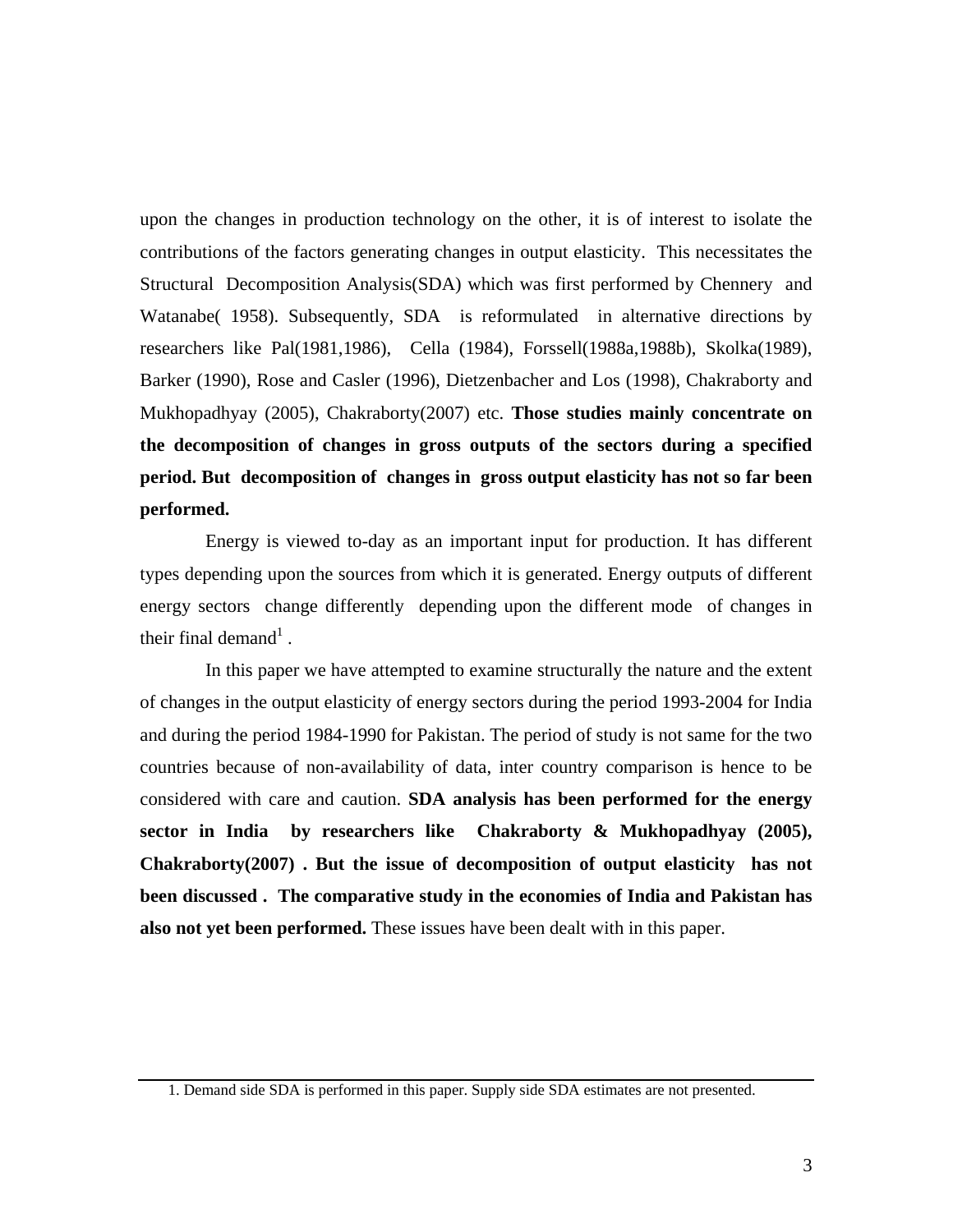upon the changes in production technology on the other, it is of interest to isolate the contributions of the factors generating changes in output elasticity. This necessitates the Structural Decomposition Analysis(SDA) which was first performed by Chennery and Watanabe( 1958). Subsequently, SDA is reformulated in alternative directions by researchers like Pal(1981,1986), Cella (1984), Forssell(1988a,1988b), Skolka(1989), Barker (1990), Rose and Casler (1996), Dietzenbacher and Los (1998), Chakraborty and Mukhopadhyay (2005), Chakraborty(2007) etc. **Those studies mainly concentrate on the decomposition of changes in gross outputs of the sectors during a specified period. But decomposition of changes in gross output elasticity has not so far been performed.**

 Energy is viewed to-day as an important input for production. It has different types depending upon the sources from which it is generated. Energy outputs of different energy sectors change differently depending upon the different mode of changes in their final demand<sup>1</sup>.

 In this paper we have attempted to examine structurally the nature and the extent of changes in the output elasticity of energy sectors during the period 1993-2004 for India and during the period 1984-1990 for Pakistan. The period of study is not same for the two countries because of non-availability of data, inter country comparison is hence to be considered with care and caution. **SDA analysis has been performed for the energy sector in India by researchers like Chakraborty & Mukhopadhyay (2005), Chakraborty(2007) . But the issue of decomposition of output elasticity has not been discussed . The comparative study in the economies of India and Pakistan has also not yet been performed.** These issues have been dealt with in this paper.

 <sup>1.</sup> Demand side SDA is performed in this paper. Supply side SDA estimates are not presented.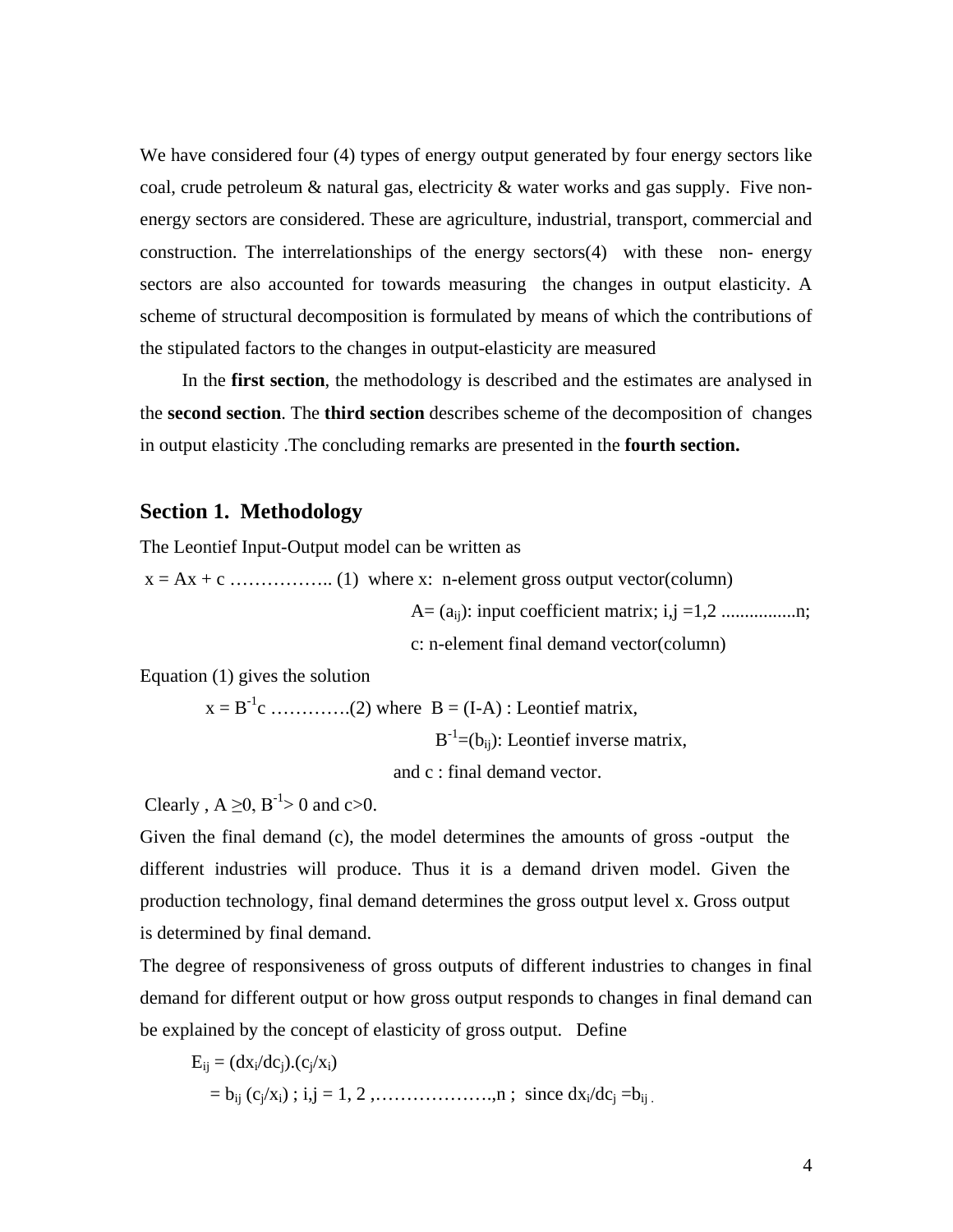We have considered four (4) types of energy output generated by four energy sectors like coal, crude petroleum & natural gas, electricity & water works and gas supply. Five nonenergy sectors are considered. These are agriculture, industrial, transport, commercial and construction. The interrelationships of the energy sectors(4) with these non- energy sectors are also accounted for towards measuring the changes in output elasticity. A scheme of structural decomposition is formulated by means of which the contributions of the stipulated factors to the changes in output-elasticity are measured

 In the **first section**, the methodology is described and the estimates are analysed in the **second section**. The **third section** describes scheme of the decomposition of changes in output elasticity .The concluding remarks are presented in the **fourth section.**

## **Section 1. Methodology**

The Leontief Input-Output model can be written as

x = Ax + c …………….. (1) where x: n-element gross output vector(column)

A= (aij): input coefficient matrix; i,j =1,2 ................n;

c: n-element final demand vector(column)

Equation (1) gives the solution

 x = B-1 c ………….(2) where B = (I-A) : Leontief matrix,  $B^{-1}$  $B^{-1}=(b_{ii})$ : Leontief inverse matrix, and c : final demand vector.

Clearly,  $A \ge 0$ ,  $B^{-1} > 0$  and  $c > 0$ .

Given the final demand (c), the model determines the amounts of gross -output the different industries will produce. Thus it is a demand driven model. Given the production technology, final demand determines the gross output level x. Gross output is determined by final demand.

The degree of responsiveness of gross outputs of different industries to changes in final demand for different output or how gross output responds to changes in final demand can be explained by the concept of elasticity of gross output. Define

$$
E_{ij} = (dx_i/dc_j).(c_j/x_i)
$$
  
=  $b_{ij} (c_j/x_i)$ ;  $i,j = 1, 2, ........., m$ ; since  $dx_i/dc_j = b_{ij}$ .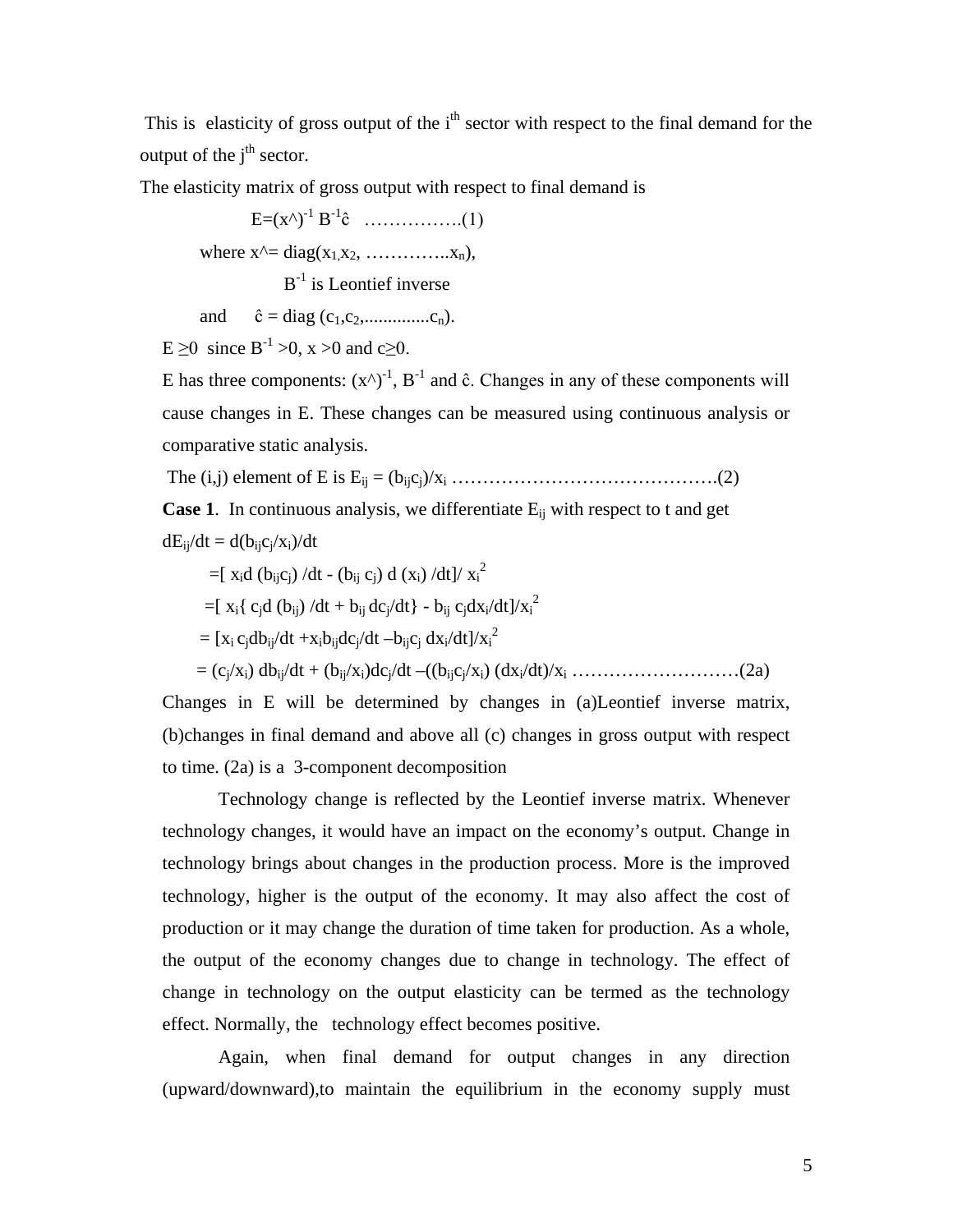This is elasticity of gross output of the  $i<sup>th</sup>$  sector with respect to the final demand for the output of the  $i<sup>th</sup>$  sector.

The elasticity matrix of gross output with respect to final demand is

 $E=(x^{\wedge})^{-1} B^{-1} \hat{c}$  ……………...(1) where  $x^{\wedge}$  = diag( $x_1, x_2, \ldots, x_n$ ),  $B^{-1}$  is Leontief inverse and  $\hat{c} = diag(c_1, c_2, \dots, c_n).$ 

E  $\geq$ 0 since B<sup>-1</sup> >0, x >0 and c $\geq$ 0.

E has three components:  $(x^{\wedge})^{-1}$ ,  $B^{-1}$  and ĉ. Changes in any of these components will cause changes in E. These changes can be measured using continuous analysis or comparative static analysis.

The (i,j) element of E is Eij = (bijcj)/xi …………………………………….(2)

**Case 1.** In continuous analysis, we differentiate  $E_{ii}$  with respect to t and get  $dE_{ii}/dt = d(b_{ii}c_i/x_i)/dt$ 

= 
$$
[x_i d (b_{ij}c_j) / dt - (b_{ij} c_j) d (x_i) / dt] / x_i^2
$$
  
\n=  $[x_i { (c_j d (b_{ij}) / dt + b_{ij} dc_j/dt) - b_{ij} c_j dx_i/dt] / x_i^2$   
\n=  $[x_i c_j db_{ij}/dt + x_i b_{ij}dc_j/dt - b_{ij}c_j dx_i/dt] / x_i^2$ 

= (cj/xi) dbij/dt + (bij/xi)dcj/dt –((bijcj/xi) (dxi/dt)/xi ………………………(2a)

Changes in E will be determined by changes in (a)Leontief inverse matrix, (b)changes in final demand and above all (c) changes in gross output with respect to time. (2a) is a 3-component decomposition

 Technology change is reflected by the Leontief inverse matrix. Whenever technology changes, it would have an impact on the economy's output. Change in technology brings about changes in the production process. More is the improved technology, higher is the output of the economy. It may also affect the cost of production or it may change the duration of time taken for production. As a whole, the output of the economy changes due to change in technology. The effect of change in technology on the output elasticity can be termed as the technology effect. Normally, the technology effect becomes positive.

 Again, when final demand for output changes in any direction (upward/downward),to maintain the equilibrium in the economy supply must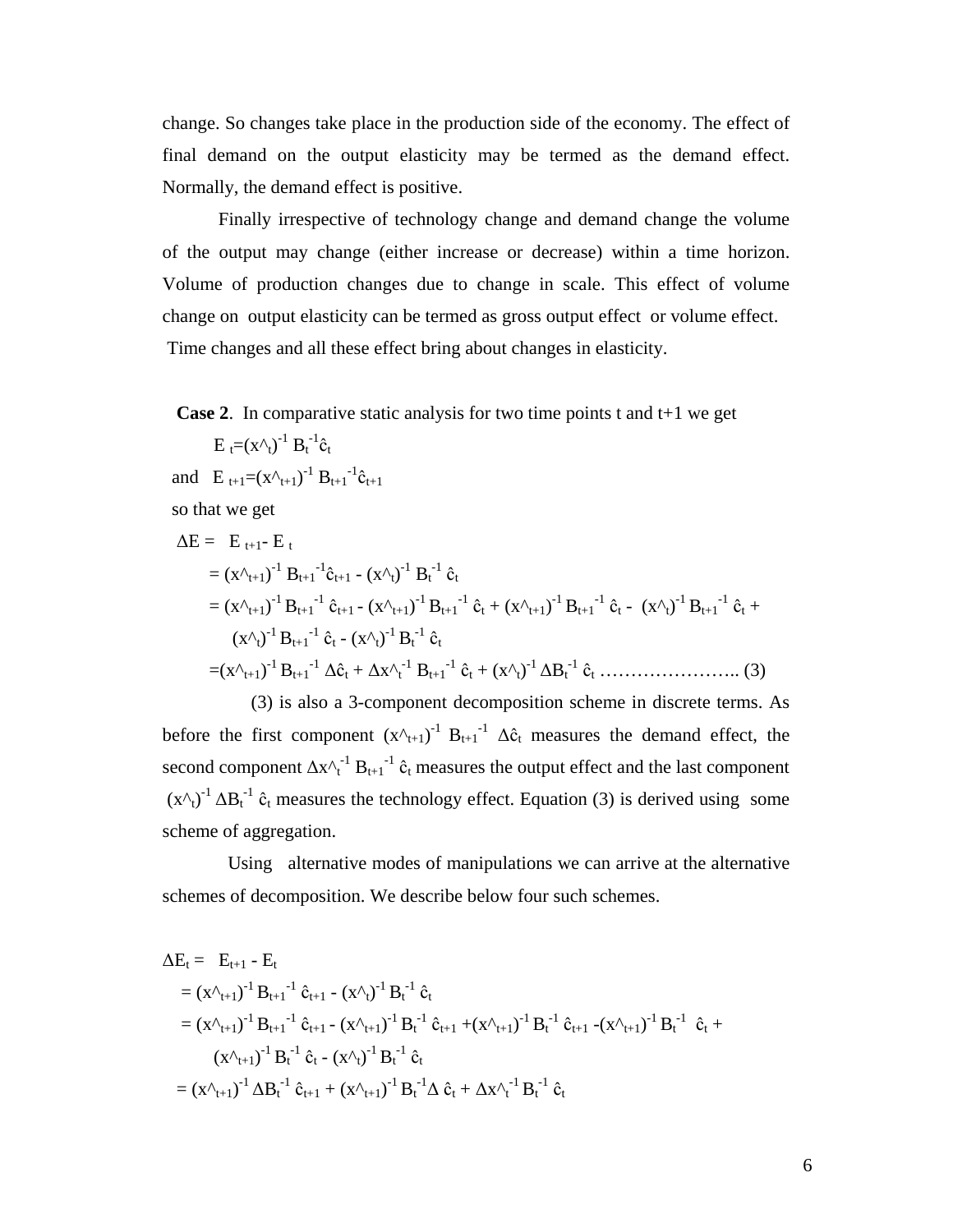change. So changes take place in the production side of the economy. The effect of final demand on the output elasticity may be termed as the demand effect. Normally, the demand effect is positive.

 Finally irrespective of technology change and demand change the volume of the output may change (either increase or decrease) within a time horizon. Volume of production changes due to change in scale. This effect of volume change on output elasticity can be termed as gross output effect or volume effect. Time changes and all these effect bring about changes in elasticity.

 **Case 2**. In comparative static analysis for two time points t and t+1 we get

 $E_t=(x^{\lambda}t)^{-1}B_t^{-1}\hat{c}_t$ and  $E_{t+1} = (X^{\Lambda_{t+1}})^{-1} B_{t+1}^{-1} \hat{c}_{t+1}$ 

so that we get

$$
\Delta E = E_{t+1} - E_t
$$
  
\n
$$
= (x^{\Lambda}_{t+1})^{-1} B_{t+1}^{-1} \hat{c}_{t+1} - (x^{\Lambda}_{t})^{-1} B_t^{-1} \hat{c}_t
$$
  
\n
$$
= (x^{\Lambda}_{t+1})^{-1} B_{t+1}^{-1} \hat{c}_{t+1} - (x^{\Lambda}_{t+1})^{-1} B_{t+1}^{-1} \hat{c}_t + (x^{\Lambda}_{t+1})^{-1} B_{t+1}^{-1} \hat{c}_t - (x^{\Lambda}_{t})^{-1} B_{t+1}^{-1} \hat{c}_t + (x^{\Lambda}_{t})^{-1} B_{t+1}^{-1} \hat{c}_t + (x^{\Lambda}_{t})^{-1} B_{t+1}^{-1} \hat{c}_t + (x^{\Lambda}_{t})^{-1} B_t^{-1} \hat{c}_t
$$
  
\n
$$
= (x^{\Lambda}_{t+1})^{-1} B_{t+1}^{-1} \Delta \hat{c}_t + \Delta x^{\Lambda}_{t}^{-1} B_{t+1}^{-1} \hat{c}_t + (x^{\Lambda}_{t})^{-1} \Delta B_t^{-1} \hat{c}_t + \dots
$$
 (3)

 (3) is also a 3-component decomposition scheme in discrete terms. As before the first component  $(x^{\lambda_{t+1}})^{-1} B_{t+1}^{-1} \Delta \hat{c}_t$  measures the demand effect, the second component  $\Delta x^{\lambda_{t}^{-1}} B_{t+1}^{-1} \hat{c}_t$  measures the output effect and the last component  $(x^{\Lambda}t)^{-1} \Delta B_t^{-1}$  ĉ<sub>t</sub> measures the technology effect. Equation (3) is derived using some scheme of aggregation.

 Using alternative modes of manipulations we can arrive at the alternative schemes of decomposition. We describe below four such schemes.

$$
\Delta E_t = E_{t+1} - E_t
$$
  
\n
$$
= (x^{\Lambda_{t+1}})^{-1} B_{t+1}^{-1} \hat{c}_{t+1} - (x^{\Lambda_t})^{-1} B_t^{-1} \hat{c}_t
$$
  
\n
$$
= (x^{\Lambda_{t+1}})^{-1} B_{t+1}^{-1} \hat{c}_{t+1} - (x^{\Lambda_{t+1}})^{-1} B_t^{-1} \hat{c}_{t+1} + (x^{\Lambda_{t+1}})^{-1} B_t^{-1} \hat{c}_{t+1} - (x^{\Lambda_{t+1}})^{-1} B_t^{-1} \hat{c}_t + (x^{\Lambda_{t+1}})^{-1} B_t^{-1} \hat{c}_t - (x^{\Lambda_t})^{-1} B_t^{-1} \hat{c}_t
$$
  
\n
$$
= (x^{\Lambda_{t+1}})^{-1} \Delta B_t^{-1} \hat{c}_{t+1} + (x^{\Lambda_{t+1}})^{-1} B_t^{-1} \Delta \hat{c}_t + \Delta x^{\Lambda_t^{-1}} B_t^{-1} \hat{c}_t
$$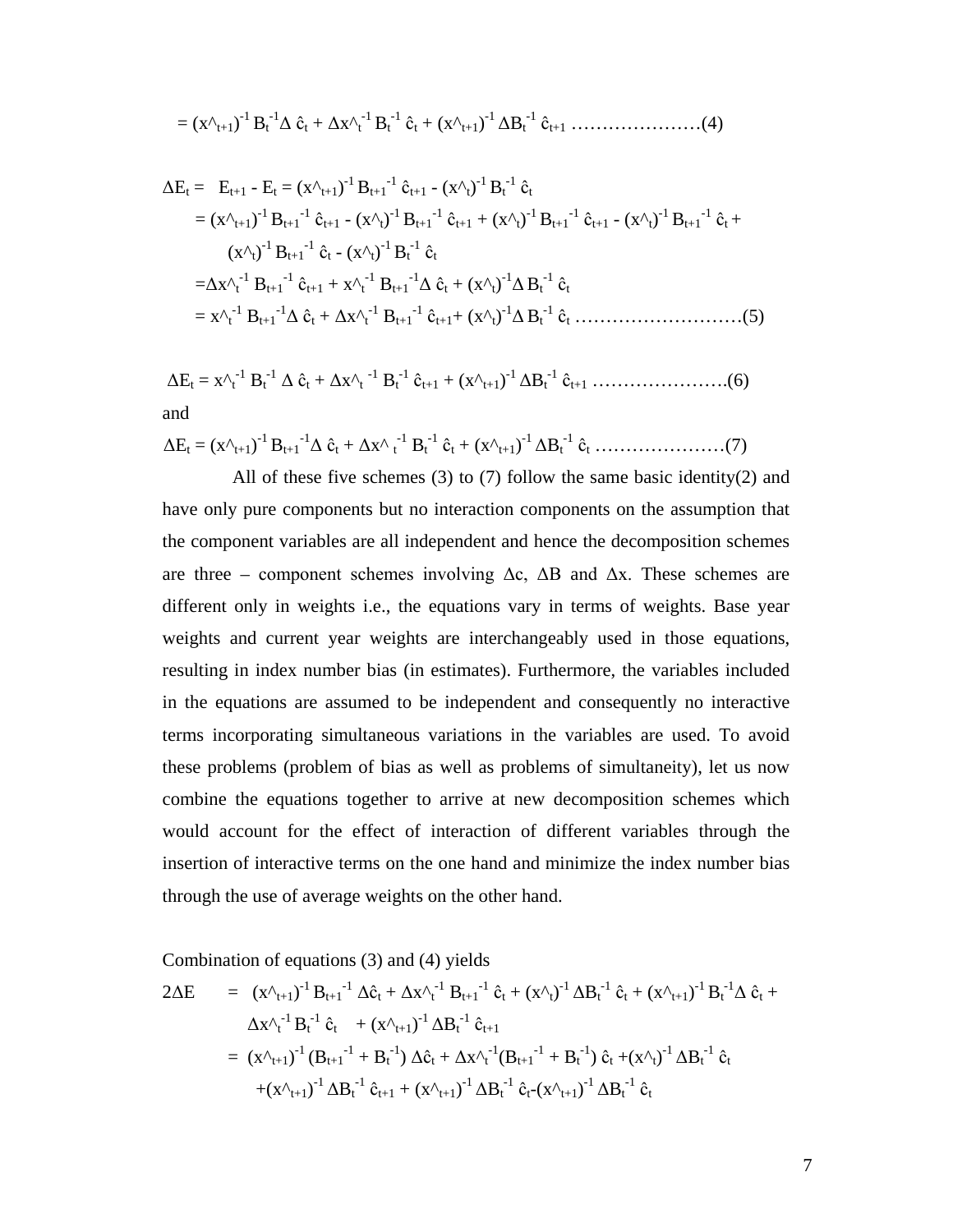$$
= (x^{\Lambda_{t+1}})^{-1} B_t^{-1} \Delta \hat{c}_t + \Delta x^{\Lambda_t^{-1}} B_t^{-1} \hat{c}_t + (x^{\Lambda_{t+1}})^{-1} \Delta B_t^{-1} \hat{c}_{t+1} \dots \dots \dots \dots \dots \dots \dots \dots (4)
$$

$$
\Delta E_{t} = E_{t+1} - E_{t} = (x^{\Lambda_{t+1}})^{-1} B_{t+1}^{-1} \hat{c}_{t+1} - (x^{\Lambda_{t}})^{-1} B_{t}^{-1} \hat{c}_{t}
$$
\n
$$
= (x^{\Lambda_{t+1}})^{-1} B_{t+1}^{-1} \hat{c}_{t+1} - (x^{\Lambda_{t}})^{-1} B_{t+1}^{-1} \hat{c}_{t+1} + (x^{\Lambda_{t}})^{-1} B_{t+1}^{-1} \hat{c}_{t+1} - (x^{\Lambda_{t}})^{-1} B_{t+1}^{-1} \hat{c}_{t} + (x^{\Lambda_{t}})^{-1} B_{t+1}^{-1} \hat{c}_{t} - (x^{\Lambda_{t}})^{-1} B_{t}^{-1} \hat{c}_{t}
$$
\n
$$
= \Delta x^{\Lambda_{t}^{-1}} B_{t+1}^{-1} \hat{c}_{t+1} + x^{\Lambda_{t}^{-1}} B_{t+1}^{-1} \Delta \hat{c}_{t} + (x^{\Lambda_{t}})^{-1} \Delta B_{t}^{-1} \hat{c}_{t}
$$
\n
$$
= x^{\Lambda_{t}^{-1}} B_{t+1}^{-1} \Delta \hat{c}_{t} + \Delta x^{\Lambda_{t}^{-1}} B_{t+1}^{-1} \hat{c}_{t+1} + (x^{\Lambda_{t}})^{-1} \Delta B_{t}^{-1} \hat{c}_{t} + \dots
$$
\n(5)

ΔEt = x^t -1 Bt -1 Δ ĉ<sup>t</sup> + Δx^t -1 Bt -1 ĉt+1 + (x^t+1) -1 ΔBt -1 ĉt+1 ………………….(6) and

$$
\Delta E_t = (x^{\Lambda_{t+1}})^{-1} B_{t+1}^{-1} \Delta \hat{c}_t + \Delta x^{\Lambda} t^{-1} B_t^{-1} \hat{c}_t + (x^{\Lambda_{t+1}})^{-1} \Delta B_t^{-1} \hat{c}_t \dots \dots \dots \dots \dots \dots \dots \dots \dots \tag{7}
$$

All of these five schemes  $(3)$  to  $(7)$  follow the same basic identity $(2)$  and have only pure components but no interaction components on the assumption that the component variables are all independent and hence the decomposition schemes are three – component schemes involving  $\Delta c$ ,  $\Delta B$  and  $\Delta x$ . These schemes are different only in weights i.e., the equations vary in terms of weights. Base year weights and current year weights are interchangeably used in those equations, resulting in index number bias (in estimates). Furthermore, the variables included in the equations are assumed to be independent and consequently no interactive terms incorporating simultaneous variations in the variables are used. To avoid these problems (problem of bias as well as problems of simultaneity), let us now combine the equations together to arrive at new decomposition schemes which would account for the effect of interaction of different variables through the insertion of interactive terms on the one hand and minimize the index number bias through the use of average weights on the other hand.

Combination of equations (3) and (4) yields

$$
2\Delta E = (x^{\Lambda_{t+1}})^{-1} B_{t+1}^{-1} \Delta \hat{c}_t + \Delta x^{\Lambda_t^{-1}} B_{t+1}^{-1} \hat{c}_t + (x^{\Lambda_t})^{-1} \Delta B_t^{-1} \hat{c}_t + (x^{\Lambda_{t+1}})^{-1} B_t^{-1} \Delta \hat{c}_t + \Delta x^{\Lambda_t^{-1}} B_t^{-1} \hat{c}_t + (x^{\Lambda_{t+1}})^{-1} \Delta B_t^{-1} \hat{c}_{t+1}
$$
  
= 
$$
(x^{\Lambda_{t+1}})^{-1} (B_{t+1}^{-1} + B_t^{-1}) \Delta \hat{c}_t + \Delta x^{\Lambda_t^{-1}} (B_{t+1}^{-1} + B_t^{-1}) \hat{c}_t + (x^{\Lambda_t})^{-1} \Delta B_t^{-1} \hat{c}_t + (x^{\Lambda_{t+1}})^{-1} \Delta B_t^{-1} \hat{c}_{t+1} + (x^{\Lambda_{t+1}})^{-1} \Delta B_t^{-1} \hat{c}_t - (x^{\Lambda_{t+1}})^{-1} \Delta B_t^{-1} \hat{c}_t
$$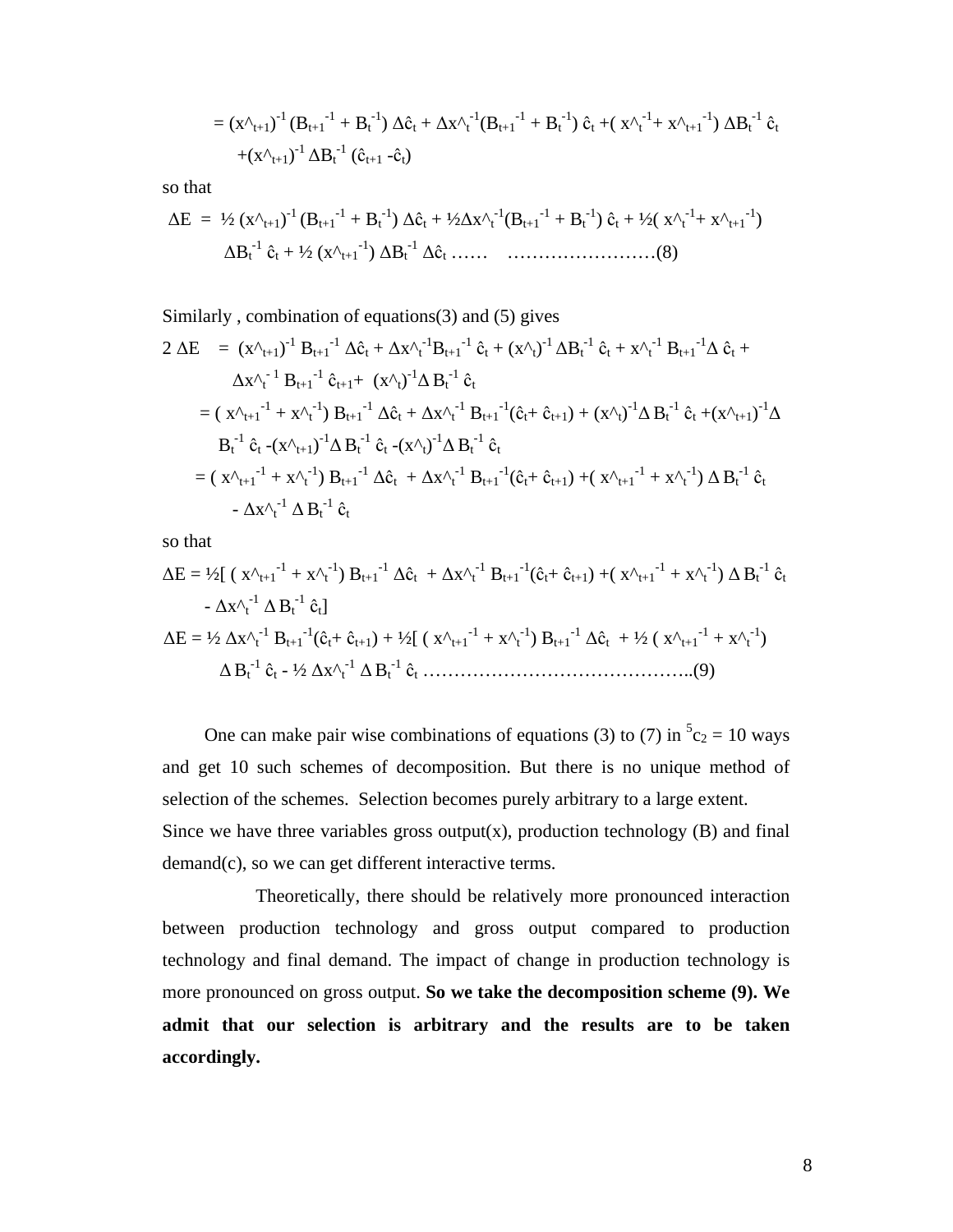$$
= (x^{\Lambda_{t+1}})^{-1} (B_{t+1}^{\ -1} + B_t^{\ -1}) \Delta \hat{c}_t + \Delta x^{\Lambda_t^{-1}} (B_{t+1}^{\ -1} + B_t^{\ -1}) \hat{c}_t + (x^{\Lambda_t^{-1}} + x^{\Lambda_{t+1}^{-1}}) \Delta B_t^{\ -1} \hat{c}_t + (x^{\Lambda_{t+1}})^{-1} \Delta B_t^{\ -1} (\hat{c}_{t+1} - \hat{c}_t)
$$

so that

 ΔE = ½ (x^t+1) -1 (Bt+1-1 + Bt -1 ) Δĉ<sup>t</sup> + ½Δx^t -1 (Bt+1-1 + Bt -1 ) ĉ<sup>t</sup> + ½( x^t -1 + x^t+1-1 ) ΔBt -1 ĉ<sup>t</sup> + ½ (x^t+1-1 ) ΔBt -1 Δĉ<sup>t</sup> …… ……………………(8)

Similarly , combination of equations(3) and (5) gives

$$
2 \Delta E = (x^{\Lambda_{t+1}})^{-1} B_{t+1}^{-1} \Delta \hat{c}_t + \Delta x^{\Lambda_t^{-1}} B_{t+1}^{-1} \hat{c}_t + (x^{\Lambda_t})^{-1} \Delta B_t^{-1} \hat{c}_t + x^{\Lambda_t^{-1}} B_{t+1}^{-1} \Delta \hat{c}_t + \Delta x^{\Lambda_t^{-1}} B_{t+1}^{-1} \hat{c}_{t+1} + (x^{\Lambda_t})^{-1} \Delta B_t^{-1} \hat{c}_t
$$
  
\n
$$
= (x^{\Lambda_{t+1}^{-1}} + x^{\Lambda_t^{-1}}) B_{t+1}^{-1} \Delta \hat{c}_t + \Delta x^{\Lambda_t^{-1}} B_{t+1}^{-1} (\hat{c}_t + \hat{c}_{t+1}) + (x^{\Lambda_t})^{-1} \Delta B_t^{-1} \hat{c}_t + (x^{\Lambda_{t+1}})^{-1} \Delta B_t^{-1} \hat{c}_t
$$
  
\n
$$
B_t^{-1} \hat{c}_t - (x^{\Lambda_{t+1}})^{-1} \Delta B_t^{-1} \hat{c}_t - (x^{\Lambda_t})^{-1} \Delta B_t^{-1} \hat{c}_t
$$
  
\n
$$
= (x^{\Lambda_{t+1}^{-1}} + x^{\Lambda_t^{-1}}) B_{t+1}^{-1} \Delta \hat{c}_t + \Delta x^{\Lambda_t^{-1}} B_{t+1}^{-1} (\hat{c}_t + \hat{c}_{t+1}) + (x^{\Lambda_{t+1}^{-1}} + x^{\Lambda_t^{-1}}) \Delta B_t^{-1} \hat{c}_t
$$
  
\n
$$
- \Delta x^{\Lambda_t^{-1}} \Delta B_t^{-1} \hat{c}_t
$$

so that

$$
\Delta E = \frac{1}{2} \left[ (x^{\Lambda_{t+1}}^{-1} + x^{\Lambda_t^{-1}}) B_{t+1}^{-1} \Delta \hat{c}_t + \Delta x^{\Lambda_t^{-1}} B_{t+1}^{-1} (\hat{c}_t + \hat{c}_{t+1}) + (x^{\Lambda_{t+1}}^{-1} + x^{\Lambda_t^{-1}}) \Delta B_t^{-1} \hat{c}_t \right]
$$
  
-  $\Delta x^{\Lambda_t^{-1}} \Delta B_t^{-1} \hat{c}_t$   
 $\Delta E = \frac{1}{2} \Delta x^{\Lambda_t^{-1}} B_{t+1}^{-1} (\hat{c}_t + \hat{c}_{t+1}) + \frac{1}{2} \left[ (x^{\Lambda_{t+1}}^{-1} + x^{\Lambda_t^{-1}}) B_{t+1}^{-1} \Delta \hat{c}_t + \frac{1}{2} (x^{\Lambda_{t+1}}^{-1} + x^{\Lambda_t^{-1}}) \right]$   
 $\Delta B_t^{-1} \hat{c}_t - \frac{1}{2} \Delta x^{\Lambda_t^{-1}} \Delta B_t^{-1} \hat{c}_t$ .................(9)

One can make pair wise combinations of equations (3) to (7) in  ${}^5c_2 = 10$  ways and get 10 such schemes of decomposition. But there is no unique method of selection of the schemes. Selection becomes purely arbitrary to a large extent. Since we have three variables gross output $(x)$ , production technology  $(B)$  and final demand(c), so we can get different interactive terms.

 Theoretically, there should be relatively more pronounced interaction between production technology and gross output compared to production technology and final demand. The impact of change in production technology is more pronounced on gross output. **So we take the decomposition scheme (9). We admit that our selection is arbitrary and the results are to be taken accordingly.**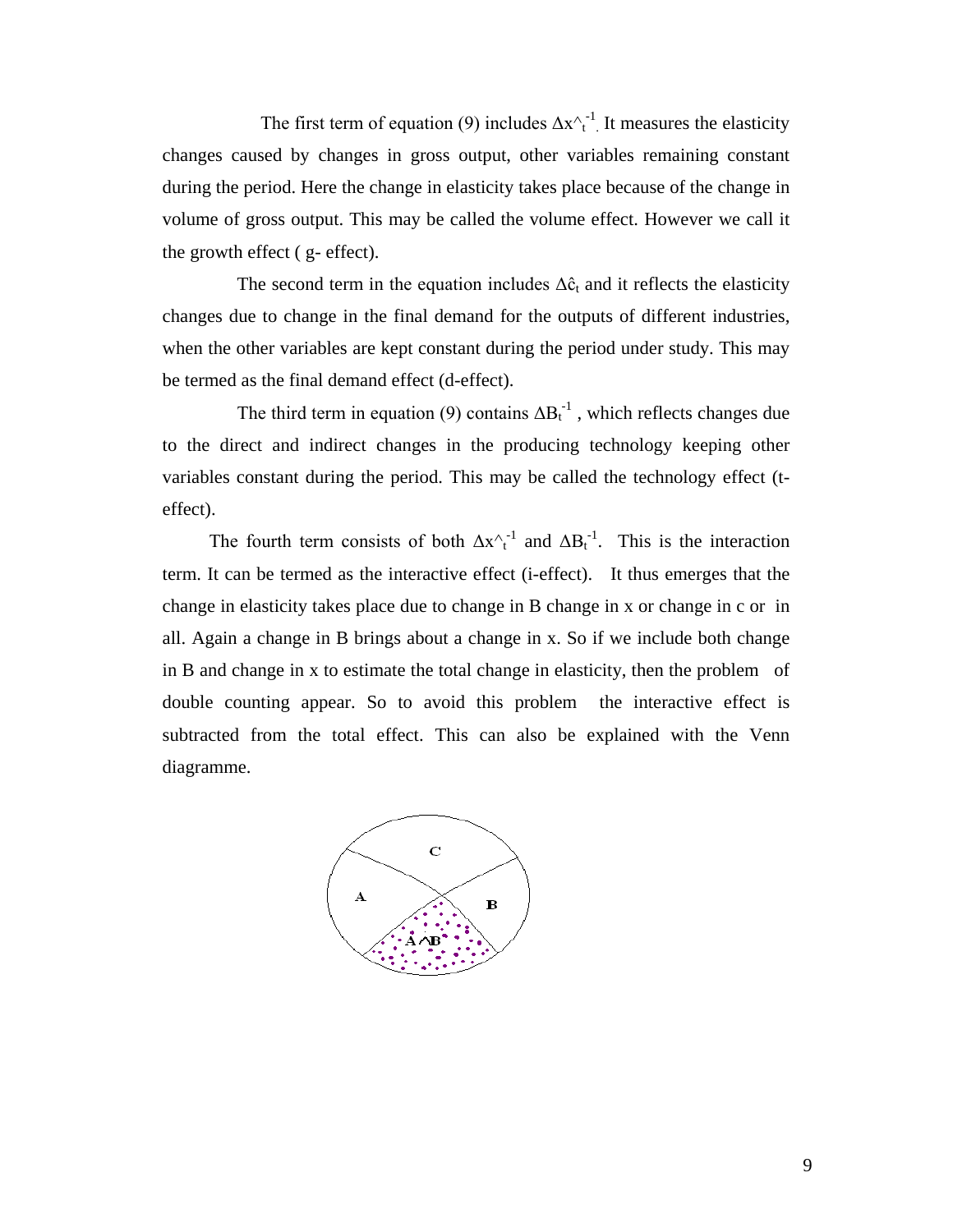The first term of equation (9) includes  $\Delta x^{\lambda-1}$ . It measures the elasticity changes caused by changes in gross output, other variables remaining constant during the period. Here the change in elasticity takes place because of the change in volume of gross output. This may be called the volume effect. However we call it the growth effect ( g- effect).

The second term in the equation includes  $\Delta \hat{c}_t$  and it reflects the elasticity changes due to change in the final demand for the outputs of different industries, when the other variables are kept constant during the period under study. This may be termed as the final demand effect (d-effect).

The third term in equation (9) contains  $\Delta B_t^{-1}$ , which reflects changes due to the direct and indirect changes in the producing technology keeping other variables constant during the period. This may be called the technology effect (teffect).

The fourth term consists of both  $\Delta x^{\lambda t}$  and  $\Delta B_t^{-1}$ . This is the interaction term. It can be termed as the interactive effect (i-effect). It thus emerges that the change in elasticity takes place due to change in B change in x or change in c or in all. Again a change in B brings about a change in x. So if we include both change in B and change in x to estimate the total change in elasticity, then the problem of double counting appear. So to avoid this problem the interactive effect is subtracted from the total effect. This can also be explained with the Venn diagramme.

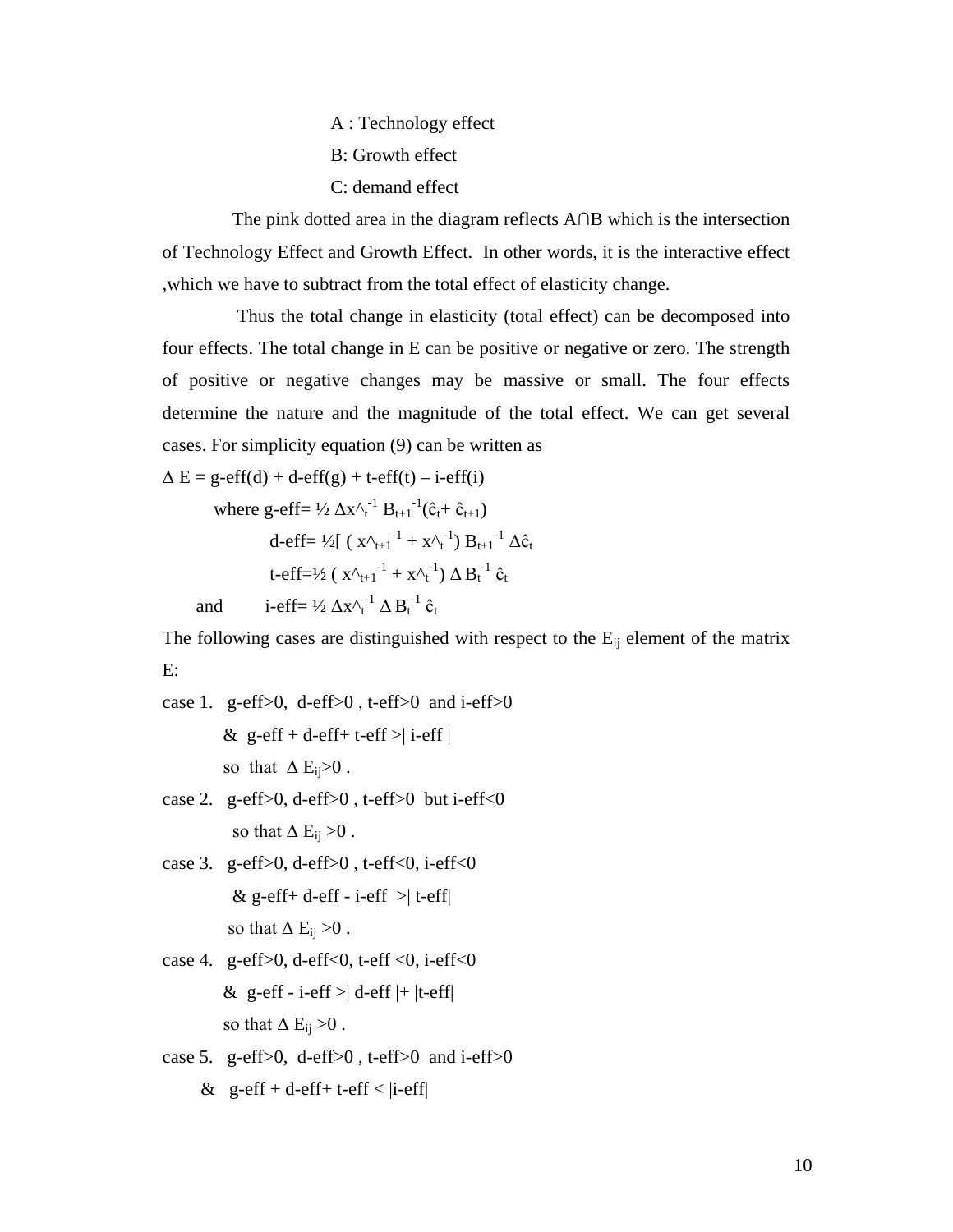A : Technology effect B: Growth effect C: demand effect

 The pink dotted area in the diagram reflects A∩B which is the intersection of Technology Effect and Growth Effect. In other words, it is the interactive effect ,which we have to subtract from the total effect of elasticity change.

 Thus the total change in elasticity (total effect) can be decomposed into four effects. The total change in E can be positive or negative or zero. The strength of positive or negative changes may be massive or small. The four effects determine the nature and the magnitude of the total effect. We can get several cases. For simplicity equation (9) can be written as

 $\Delta E = g\text{-eff}(d) + d\text{-eff}(g) + t\text{-eff}(t) - i\text{-eff}(i)$ 

where g-eff=  $\frac{1}{2} \Delta x \frac{1}{t} B_{t+1}^{-1} (\hat{c}_t + \hat{c}_{t+1})$ 

$$
d\text{-eff} = \frac{1}{2} \left[ (x^{\Lambda_{t+1}}^{-1} + x^{\Lambda_{t}^{-1}}) B_{t+1}^{-1} \Delta \hat{c}_{t} \right]
$$
  

$$
t\text{-eff} = \frac{1}{2} (x^{\Lambda_{t+1}^{-1}} + x^{\Lambda_{t}^{-1}}) \Delta B_{t}^{-1} \hat{c}_{t}
$$

and  $i\text{-eff} = \frac{1}{2} \Delta x \lambda_t^{-1} \Delta B_t^{-1} \hat{c}_t$ 

The following cases are distinguished with respect to the  $E_{ij}$  element of the matrix E:

- case 1. g-eff $>0$ , d-eff $>0$ , t-eff $>0$  and i-eff $>0$ & g-eff + d-eff+ t-eff  $>$  i-eff | so that  $\Delta E_{ii} > 0$ .
- case 2. g-eff $>0$ , d-eff $>0$ , t-eff $>0$  but i-eff $<0$ so that  $\Delta E_{ii} > 0$ .
- case 3. g-eff $>0$ , d-eff $>0$ , t-eff $<0$ , i-eff $<0$  $& \text{g-eff+ d-eff - i-eff } > \text{t-eff}$ so that  $\Delta E_{ii} > 0$ .
- case 4. g-eff $>0$ , d-eff $<0$ , t-eff $<0$ , i-eff $<0$ & g-eff - i-eff  $>$  d-eff  $|+|$ t-eff so that  $\Delta E_{ii} > 0$ .

case 5. g-eff $>0$ , d-eff $>0$ , t-eff $>0$  and i-eff $>0$ 

$$
\& \quad g\text{-eff}+d\text{-eff}+t\text{-eff}<|i\text{-eff}|
$$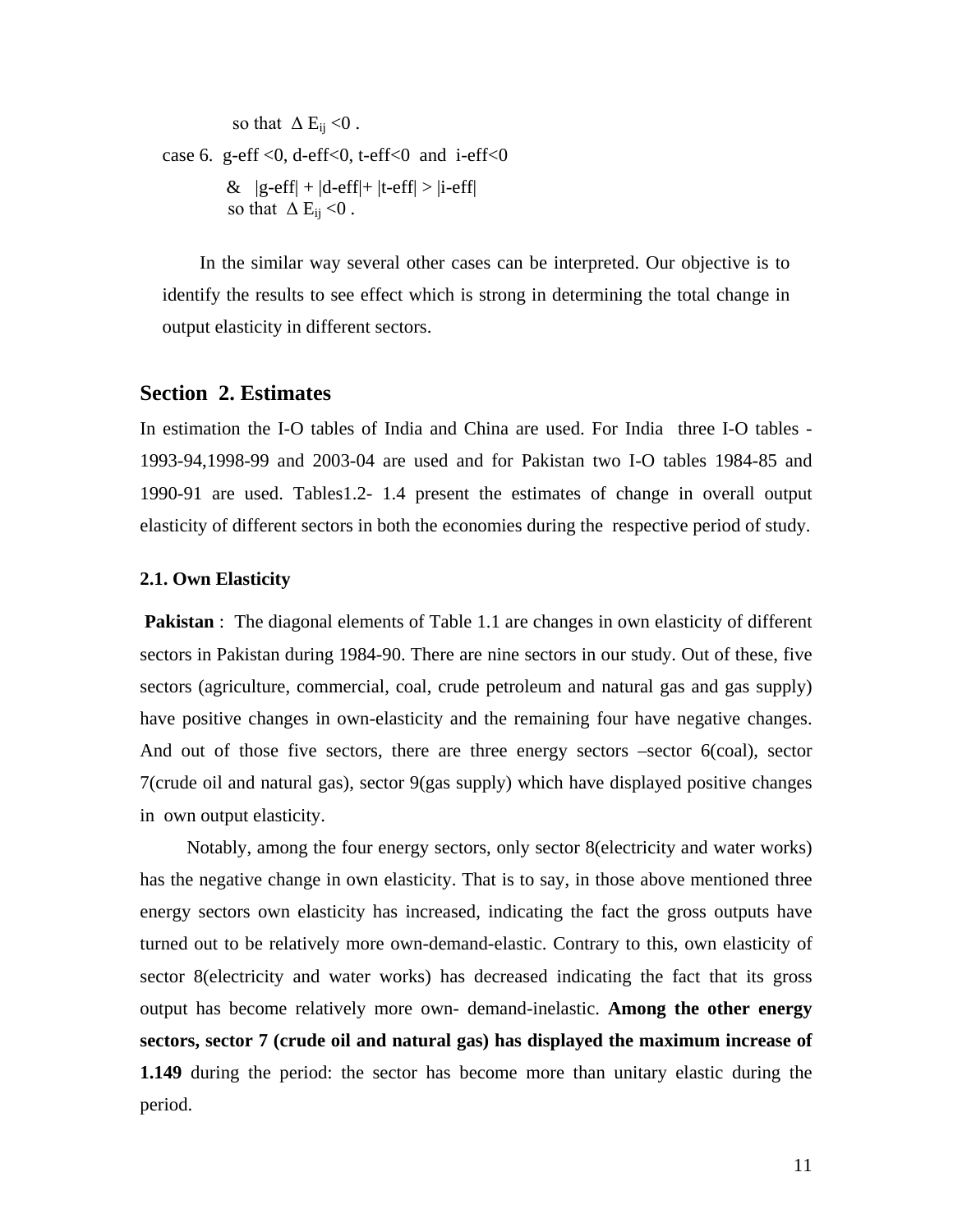so that  $\Delta E_{ii} < 0$ . case 6. g-eff  $< 0$ , d-eff $< 0$ , t-eff $< 0$  and i-eff $< 0$  $\&$   $|g\text{-}eff| + |d\text{-}eff| + |t\text{-}eff| > |i\text{-}eff|$ so that  $\Delta E_{ii} < 0$ .

 In the similar way several other cases can be interpreted. Our objective is to identify the results to see effect which is strong in determining the total change in output elasticity in different sectors.

### **Section 2. Estimates**

In estimation the I-O tables of India and China are used. For India three I-O tables - 1993-94,1998-99 and 2003-04 are used and for Pakistan two I-O tables 1984-85 and 1990-91 are used. Tables1.2- 1.4 present the estimates of change in overall output elasticity of different sectors in both the economies during the respective period of study.

#### **2.1. Own Elasticity**

**Pakistan** : The diagonal elements of Table 1.1 are changes in own elasticity of different sectors in Pakistan during 1984-90. There are nine sectors in our study. Out of these, five sectors (agriculture, commercial, coal, crude petroleum and natural gas and gas supply) have positive changes in own-elasticity and the remaining four have negative changes. And out of those five sectors, there are three energy sectors –sector 6(coal), sector 7(crude oil and natural gas), sector 9(gas supply) which have displayed positive changes in own output elasticity.

 Notably, among the four energy sectors, only sector 8(electricity and water works) has the negative change in own elasticity. That is to say, in those above mentioned three energy sectors own elasticity has increased, indicating the fact the gross outputs have turned out to be relatively more own-demand-elastic. Contrary to this, own elasticity of sector 8(electricity and water works) has decreased indicating the fact that its gross output has become relatively more own- demand-inelastic. **Among the other energy sectors, sector 7 (crude oil and natural gas) has displayed the maximum increase of 1.149** during the period: the sector has become more than unitary elastic during the period.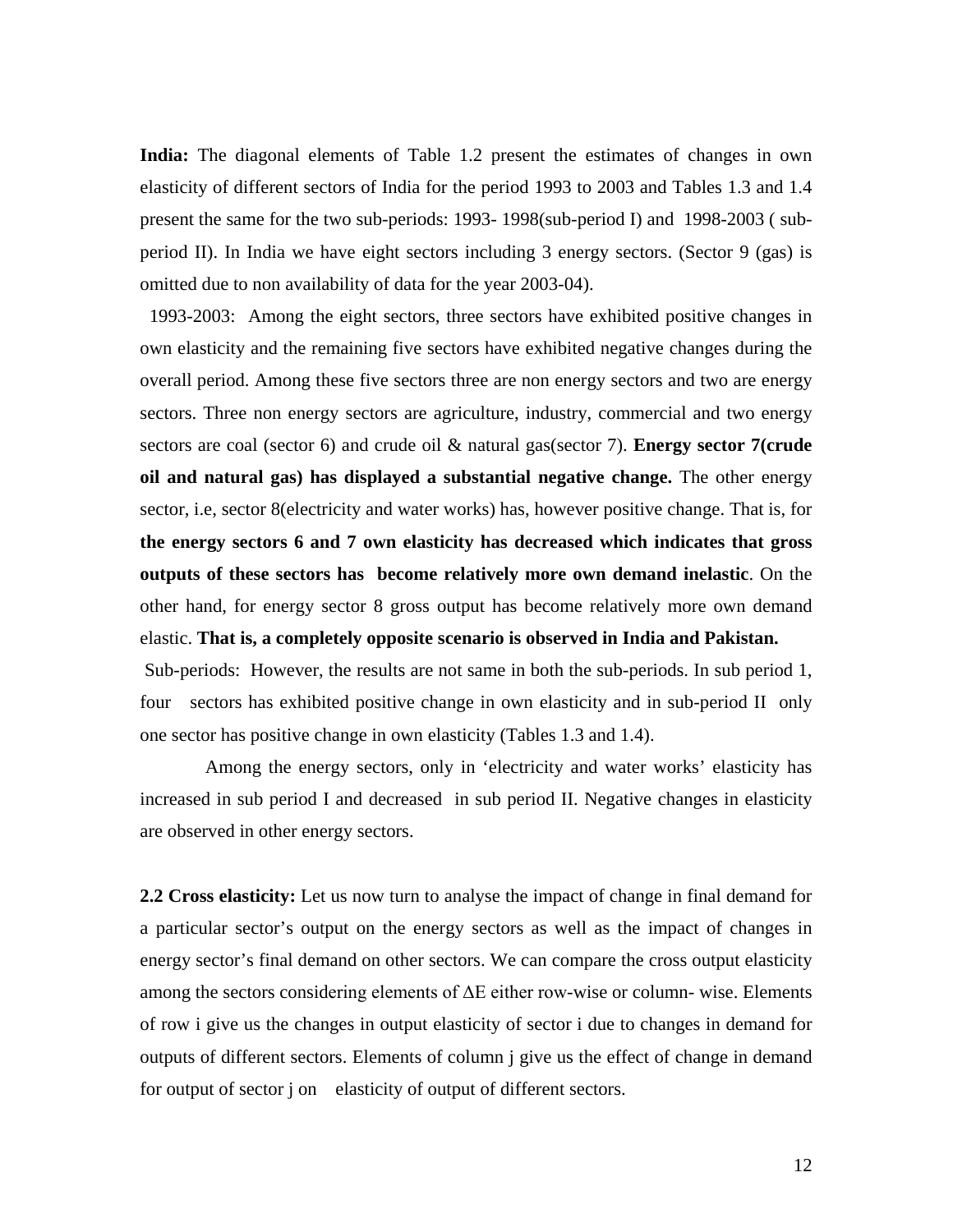**India:** The diagonal elements of Table 1.2 present the estimates of changes in own elasticity of different sectors of India for the period 1993 to 2003 and Tables 1.3 and 1.4 present the same for the two sub-periods: 1993- 1998(sub-period I) and 1998-2003 ( subperiod II). In India we have eight sectors including 3 energy sectors. (Sector 9 (gas) is omitted due to non availability of data for the year 2003-04).

 1993-2003: Among the eight sectors, three sectors have exhibited positive changes in own elasticity and the remaining five sectors have exhibited negative changes during the overall period. Among these five sectors three are non energy sectors and two are energy sectors. Three non energy sectors are agriculture, industry, commercial and two energy sectors are coal (sector 6) and crude oil & natural gas(sector 7). **Energy sector 7(crude oil and natural gas) has displayed a substantial negative change.** The other energy sector, i.e, sector 8(electricity and water works) has, however positive change. That is, for **the energy sectors 6 and 7 own elasticity has decreased which indicates that gross outputs of these sectors has become relatively more own demand inelastic**. On the other hand, for energy sector 8 gross output has become relatively more own demand elastic. **That is, a completely opposite scenario is observed in India and Pakistan.** Sub-periods: However, the results are not same in both the sub-periods. In sub period 1, four sectors has exhibited positive change in own elasticity and in sub-period II only one sector has positive change in own elasticity (Tables 1.3 and 1.4).

 Among the energy sectors, only in 'electricity and water works' elasticity has increased in sub period I and decreased in sub period II. Negative changes in elasticity are observed in other energy sectors.

**2.2 Cross elasticity:** Let us now turn to analyse the impact of change in final demand for a particular sector's output on the energy sectors as well as the impact of changes in energy sector's final demand on other sectors. We can compare the cross output elasticity among the sectors considering elements of  $\Delta E$  either row-wise or column-wise. Elements of row i give us the changes in output elasticity of sector i due to changes in demand for outputs of different sectors. Elements of column j give us the effect of change in demand for output of sector j on elasticity of output of different sectors.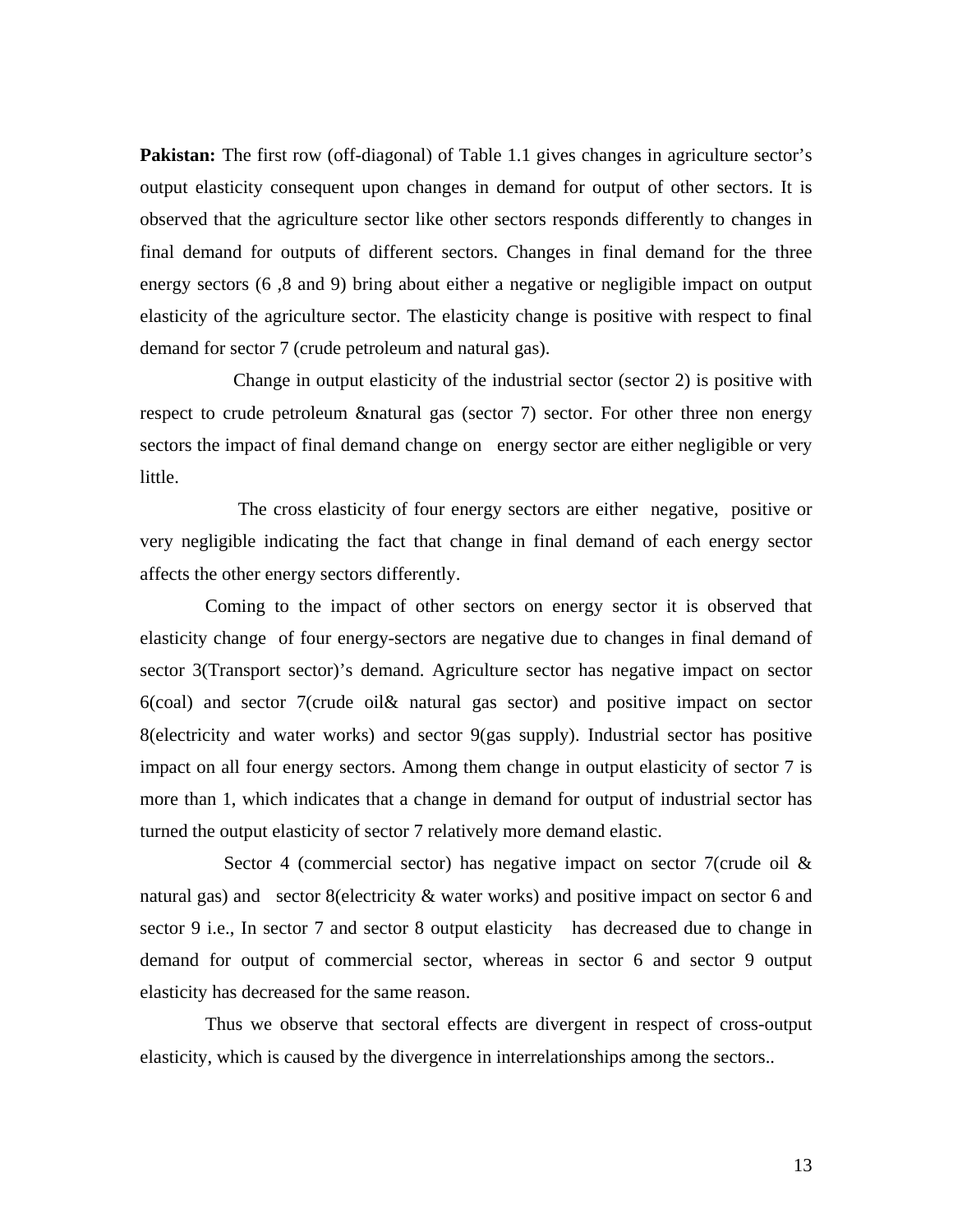**Pakistan:** The first row (off-diagonal) of Table 1.1 gives changes in agriculture sector's output elasticity consequent upon changes in demand for output of other sectors. It is observed that the agriculture sector like other sectors responds differently to changes in final demand for outputs of different sectors. Changes in final demand for the three energy sectors (6 ,8 and 9) bring about either a negative or negligible impact on output elasticity of the agriculture sector. The elasticity change is positive with respect to final demand for sector 7 (crude petroleum and natural gas).

 Change in output elasticity of the industrial sector (sector 2) is positive with respect to crude petroleum &natural gas (sector 7) sector. For other three non energy sectors the impact of final demand change on energy sector are either negligible or very little.

 The cross elasticity of four energy sectors are either negative, positive or very negligible indicating the fact that change in final demand of each energy sector affects the other energy sectors differently.

 Coming to the impact of other sectors on energy sector it is observed that elasticity change of four energy-sectors are negative due to changes in final demand of sector 3(Transport sector)'s demand. Agriculture sector has negative impact on sector 6(coal) and sector 7(crude oil& natural gas sector) and positive impact on sector 8(electricity and water works) and sector 9(gas supply). Industrial sector has positive impact on all four energy sectors. Among them change in output elasticity of sector 7 is more than 1, which indicates that a change in demand for output of industrial sector has turned the output elasticity of sector 7 relatively more demand elastic.

Sector 4 (commercial sector) has negative impact on sector 7(crude oil  $\&$ natural gas) and sector 8(electricity & water works) and positive impact on sector 6 and sector 9 i.e., In sector 7 and sector 8 output elasticity has decreased due to change in demand for output of commercial sector, whereas in sector 6 and sector 9 output elasticity has decreased for the same reason.

 Thus we observe that sectoral effects are divergent in respect of cross-output elasticity, which is caused by the divergence in interrelationships among the sectors..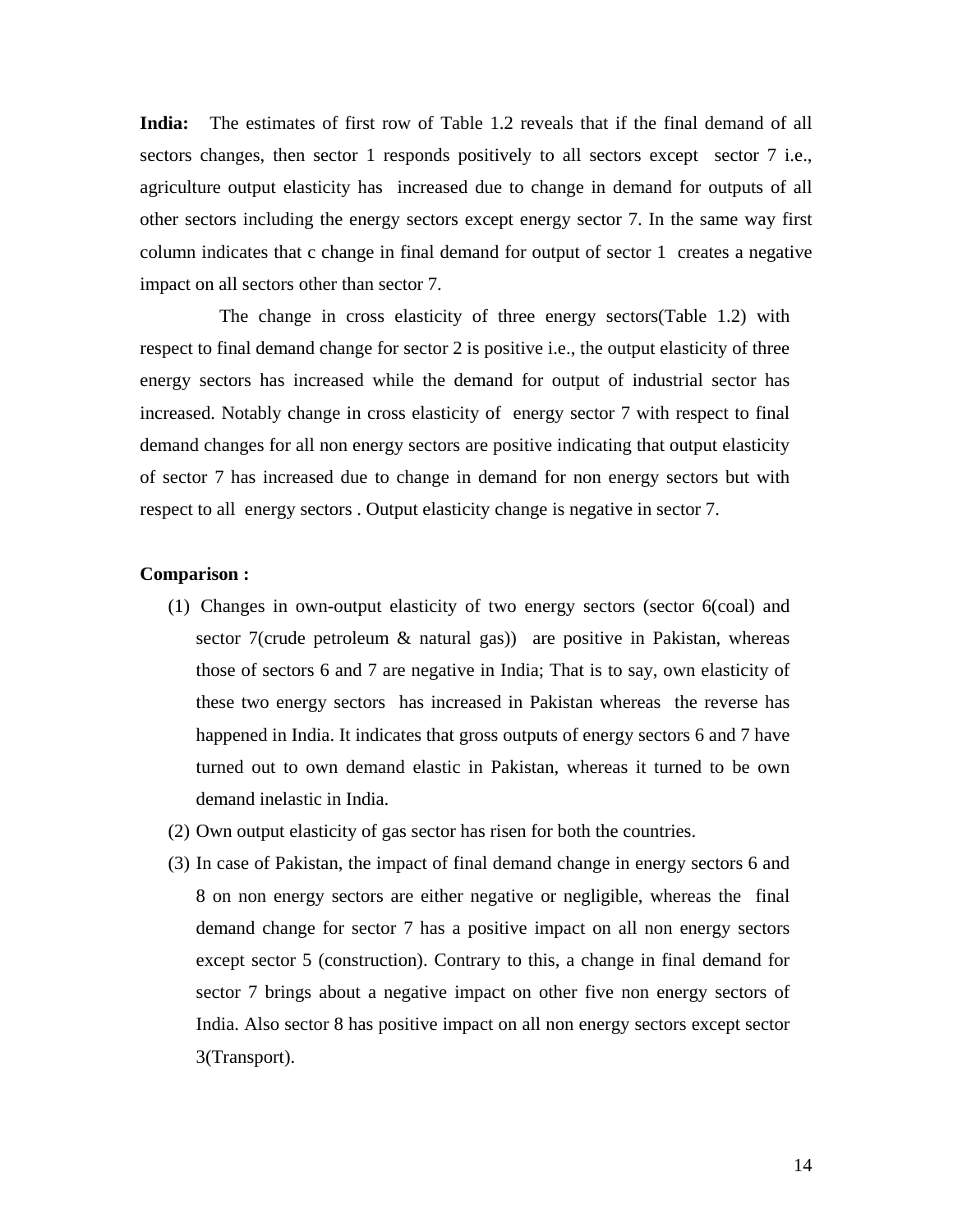**India:** The estimates of first row of Table 1.2 reveals that if the final demand of all sectors changes, then sector 1 responds positively to all sectors except sector 7 i.e., agriculture output elasticity has increased due to change in demand for outputs of all other sectors including the energy sectors except energy sector 7. In the same way first column indicates that c change in final demand for output of sector 1 creates a negative impact on all sectors other than sector 7.

 The change in cross elasticity of three energy sectors(Table 1.2) with respect to final demand change for sector 2 is positive i.e., the output elasticity of three energy sectors has increased while the demand for output of industrial sector has increased. Notably change in cross elasticity of energy sector 7 with respect to final demand changes for all non energy sectors are positive indicating that output elasticity of sector 7 has increased due to change in demand for non energy sectors but with respect to all energy sectors . Output elasticity change is negative in sector 7.

#### **Comparison :**

- (1) Changes in own-output elasticity of two energy sectors (sector 6(coal) and sector 7(crude petroleum & natural gas)) are positive in Pakistan, whereas those of sectors 6 and 7 are negative in India; That is to say, own elasticity of these two energy sectors has increased in Pakistan whereas the reverse has happened in India. It indicates that gross outputs of energy sectors 6 and 7 have turned out to own demand elastic in Pakistan, whereas it turned to be own demand inelastic in India.
- (2) Own output elasticity of gas sector has risen for both the countries.
- (3) In case of Pakistan, the impact of final demand change in energy sectors 6 and 8 on non energy sectors are either negative or negligible, whereas the final demand change for sector 7 has a positive impact on all non energy sectors except sector 5 (construction). Contrary to this, a change in final demand for sector 7 brings about a negative impact on other five non energy sectors of India. Also sector 8 has positive impact on all non energy sectors except sector 3(Transport).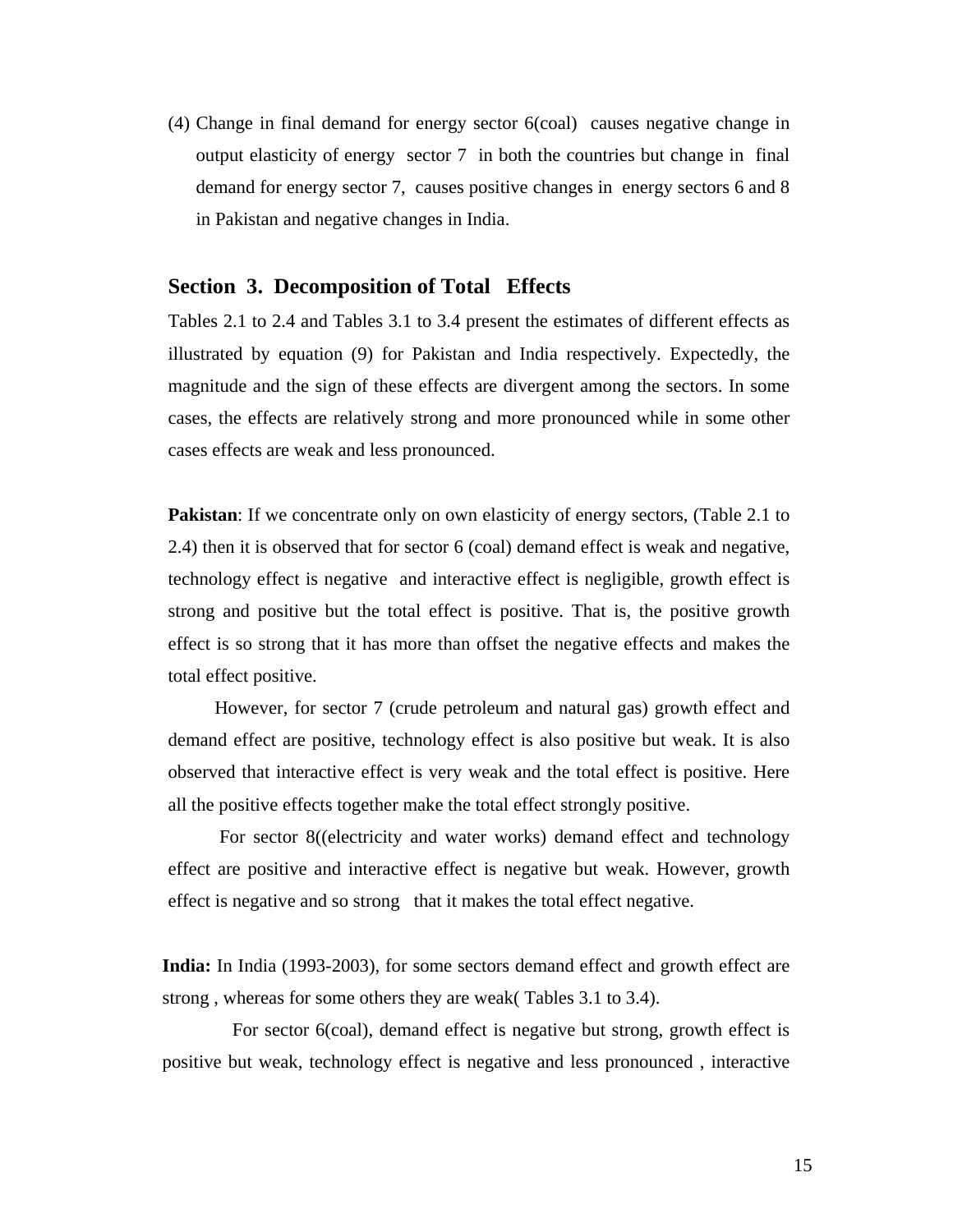(4) Change in final demand for energy sector 6(coal) causes negative change in output elasticity of energy sector 7 in both the countries but change in final demand for energy sector 7, causes positive changes in energy sectors 6 and 8 in Pakistan and negative changes in India.

## **Section 3. Decomposition of Total Effects**

Tables 2.1 to 2.4 and Tables 3.1 to 3.4 present the estimates of different effects as illustrated by equation (9) for Pakistan and India respectively. Expectedly, the magnitude and the sign of these effects are divergent among the sectors. In some cases, the effects are relatively strong and more pronounced while in some other cases effects are weak and less pronounced.

**Pakistan**: If we concentrate only on own elasticity of energy sectors, (Table 2.1 to 2.4) then it is observed that for sector 6 (coal) demand effect is weak and negative, technology effect is negative and interactive effect is negligible, growth effect is strong and positive but the total effect is positive. That is, the positive growth effect is so strong that it has more than offset the negative effects and makes the total effect positive.

However, for sector 7 (crude petroleum and natural gas) growth effect and demand effect are positive, technology effect is also positive but weak. It is also observed that interactive effect is very weak and the total effect is positive. Here all the positive effects together make the total effect strongly positive.

 For sector 8((electricity and water works) demand effect and technology effect are positive and interactive effect is negative but weak. However, growth effect is negative and so strong that it makes the total effect negative.

**India:** In India (1993-2003), for some sectors demand effect and growth effect are strong , whereas for some others they are weak( Tables 3.1 to 3.4).

For sector 6(coal), demand effect is negative but strong, growth effect is positive but weak, technology effect is negative and less pronounced , interactive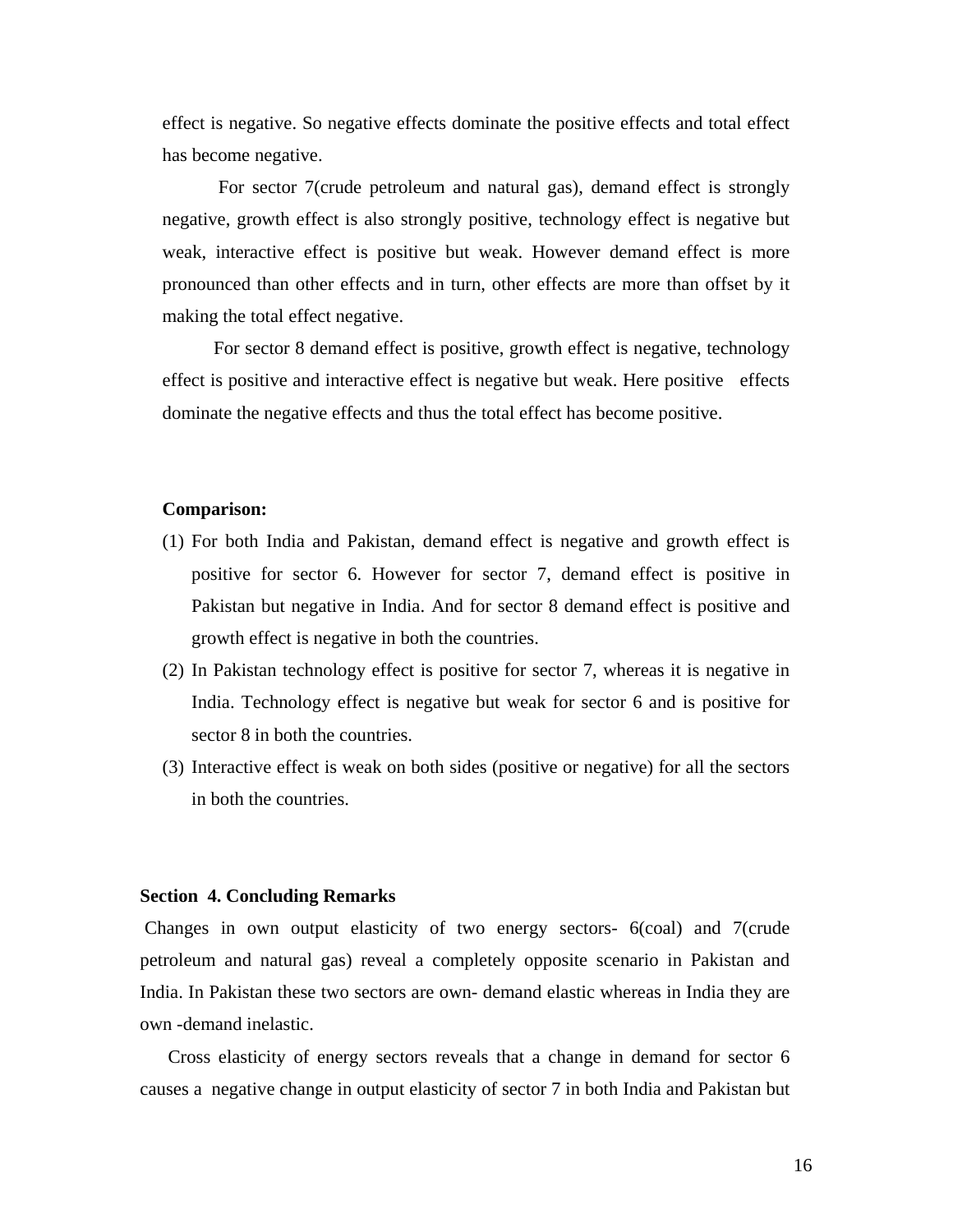effect is negative. So negative effects dominate the positive effects and total effect has become negative.

 For sector 7(crude petroleum and natural gas), demand effect is strongly negative, growth effect is also strongly positive, technology effect is negative but weak, interactive effect is positive but weak. However demand effect is more pronounced than other effects and in turn, other effects are more than offset by it making the total effect negative.

 For sector 8 demand effect is positive, growth effect is negative, technology effect is positive and interactive effect is negative but weak. Here positive effects dominate the negative effects and thus the total effect has become positive.

#### **Comparison:**

- (1) For both India and Pakistan, demand effect is negative and growth effect is positive for sector 6. However for sector 7, demand effect is positive in Pakistan but negative in India. And for sector 8 demand effect is positive and growth effect is negative in both the countries.
- (2) In Pakistan technology effect is positive for sector 7, whereas it is negative in India. Technology effect is negative but weak for sector 6 and is positive for sector 8 in both the countries.
- (3) Interactive effect is weak on both sides (positive or negative) for all the sectors in both the countries.

#### **Section 4. Concluding Remarks**

Changes in own output elasticity of two energy sectors- 6(coal) and 7(crude petroleum and natural gas) reveal a completely opposite scenario in Pakistan and India. In Pakistan these two sectors are own- demand elastic whereas in India they are own -demand inelastic.

 Cross elasticity of energy sectors reveals that a change in demand for sector 6 causes a negative change in output elasticity of sector 7 in both India and Pakistan but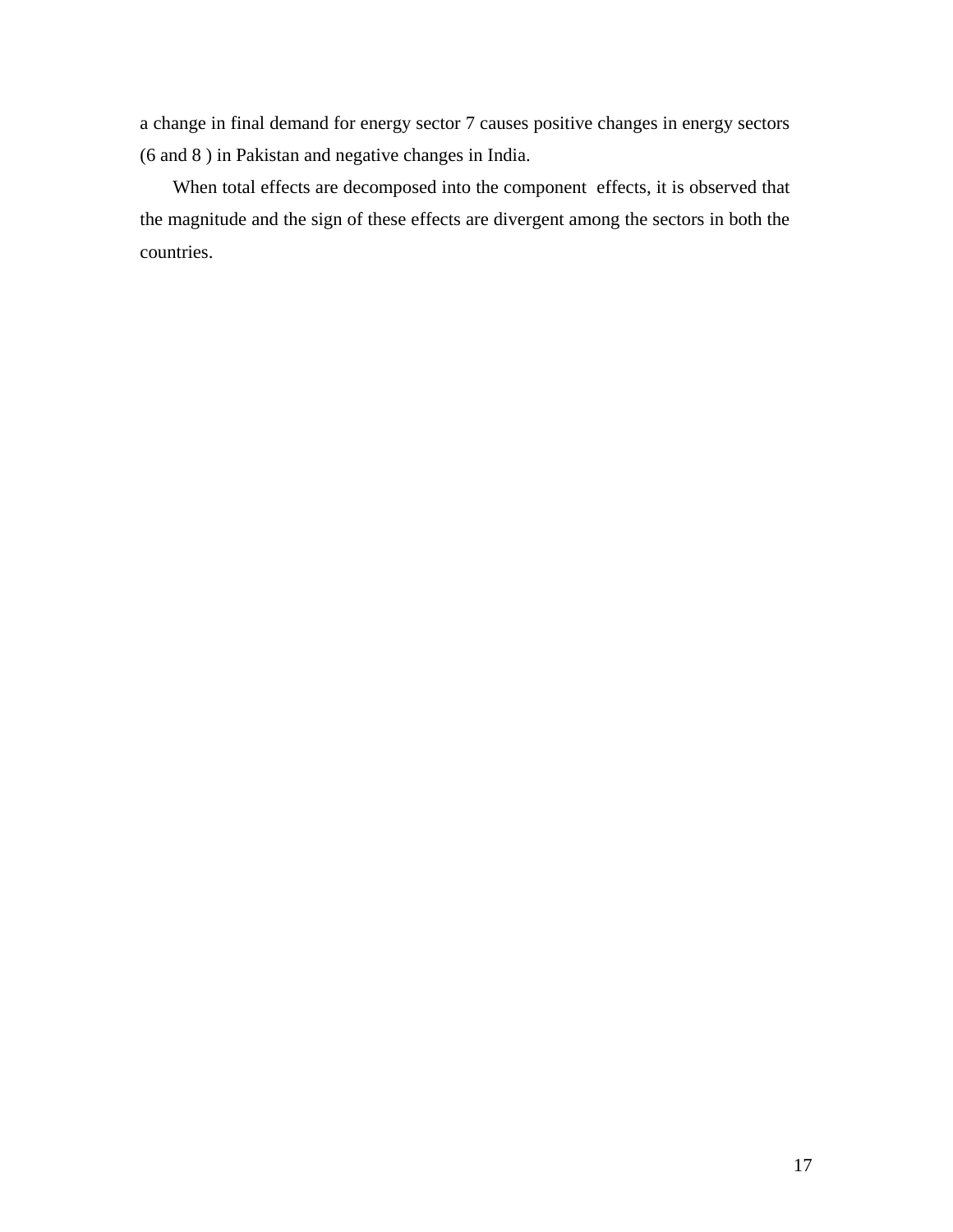a change in final demand for energy sector 7 causes positive changes in energy sectors (6 and 8 ) in Pakistan and negative changes in India.

 When total effects are decomposed into the component effects, it is observed that the magnitude and the sign of these effects are divergent among the sectors in both the countries.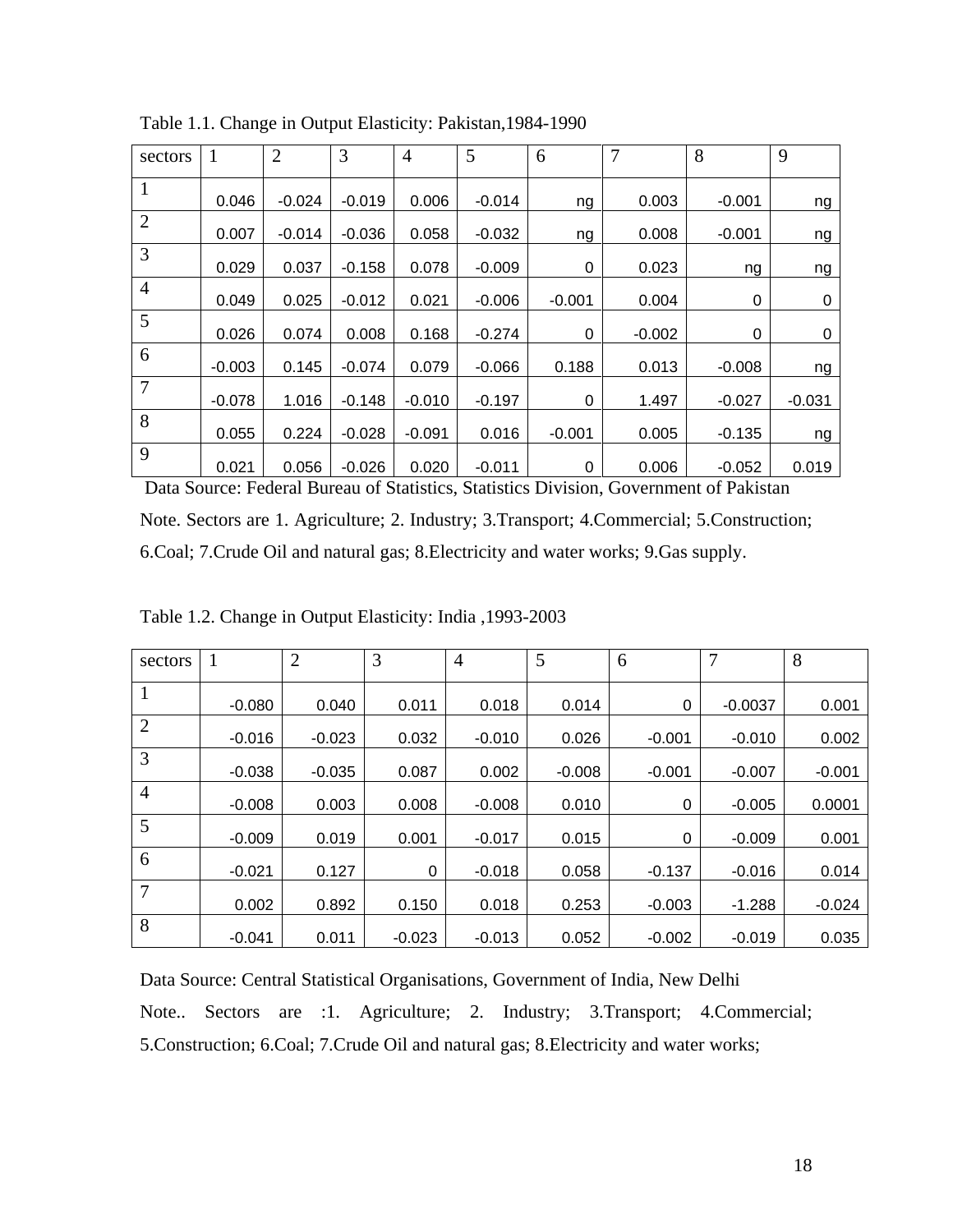| sectors        | $\mathbf{1}$ | $\overline{2}$ | 3        | $\overline{4}$ | 5        | 6        | $\overline{7}$ | 8        | 9        |
|----------------|--------------|----------------|----------|----------------|----------|----------|----------------|----------|----------|
| $\mathbf{1}$   | 0.046        | $-0.024$       | $-0.019$ | 0.006          | $-0.014$ | ng       | 0.003          | $-0.001$ | ng       |
| $\overline{2}$ | 0.007        | $-0.014$       | $-0.036$ | 0.058          | $-0.032$ | ng       | 0.008          | $-0.001$ | ng       |
| 3              | 0.029        | 0.037          | $-0.158$ | 0.078          | $-0.009$ | 0        | 0.023          | ng       | ng       |
| $\overline{4}$ | 0.049        | 0.025          | $-0.012$ | 0.021          | $-0.006$ | $-0.001$ | 0.004          | 0        | 0        |
| 5              | 0.026        | 0.074          | 0.008    | 0.168          | $-0.274$ | 0        | $-0.002$       | 0        | 0        |
| 6              | $-0.003$     | 0.145          | $-0.074$ | 0.079          | $-0.066$ | 0.188    | 0.013          | $-0.008$ | ng       |
| $\overline{7}$ | $-0.078$     | 1.016          | $-0.148$ | $-0.010$       | $-0.197$ | 0        | 1.497          | $-0.027$ | $-0.031$ |
| 8              | 0.055        | 0.224          | $-0.028$ | $-0.091$       | 0.016    | $-0.001$ | 0.005          | $-0.135$ | ng       |
| 9              | 0.021        | 0.056          | $-0.026$ | 0.020          | $-0.011$ | 0        | 0.006          | $-0.052$ | 0.019    |

Table 1.1. Change in Output Elasticity: Pakistan,1984-1990

Data Source: Federal Bureau of Statistics, Statistics Division, Government of Pakistan Note. Sectors are 1. Agriculture; 2. Industry; 3.Transport; 4.Commercial; 5.Construction; 6.Coal; 7.Crude Oil and natural gas; 8.Electricity and water works; 9.Gas supply.

| sectors        | 1        | $\overline{2}$ | 3        | $\overline{4}$ | 5        | 6        | 7         | 8        |
|----------------|----------|----------------|----------|----------------|----------|----------|-----------|----------|
| $\mathbf{1}$   | $-0.080$ | 0.040          | 0.011    | 0.018          | 0.014    | 0        | $-0.0037$ | 0.001    |
| $\overline{2}$ | $-0.016$ | $-0.023$       | 0.032    | $-0.010$       | 0.026    | $-0.001$ | $-0.010$  | 0.002    |
| 3              | $-0.038$ | $-0.035$       | 0.087    | 0.002          | $-0.008$ | $-0.001$ | $-0.007$  | $-0.001$ |
| $\overline{4}$ | $-0.008$ | 0.003          | 0.008    | $-0.008$       | 0.010    | 0        | $-0.005$  | 0.0001   |
| 5              | $-0.009$ | 0.019          | 0.001    | $-0.017$       | 0.015    | 0        | $-0.009$  | 0.001    |
| 6              | $-0.021$ | 0.127          | 0        | $-0.018$       | 0.058    | $-0.137$ | $-0.016$  | 0.014    |
| 7              | 0.002    | 0.892          | 0.150    | 0.018          | 0.253    | $-0.003$ | $-1.288$  | $-0.024$ |
| 8              | $-0.041$ | 0.011          | $-0.023$ | $-0.013$       | 0.052    | $-0.002$ | $-0.019$  | 0.035    |

Table 1.2. Change in Output Elasticity: India ,1993-2003

Data Source: Central Statistical Organisations, Government of India, New Delhi Note.. Sectors are :1. Agriculture; 2. Industry; 3.Transport; 4.Commercial; 5.Construction; 6.Coal; 7.Crude Oil and natural gas; 8.Electricity and water works;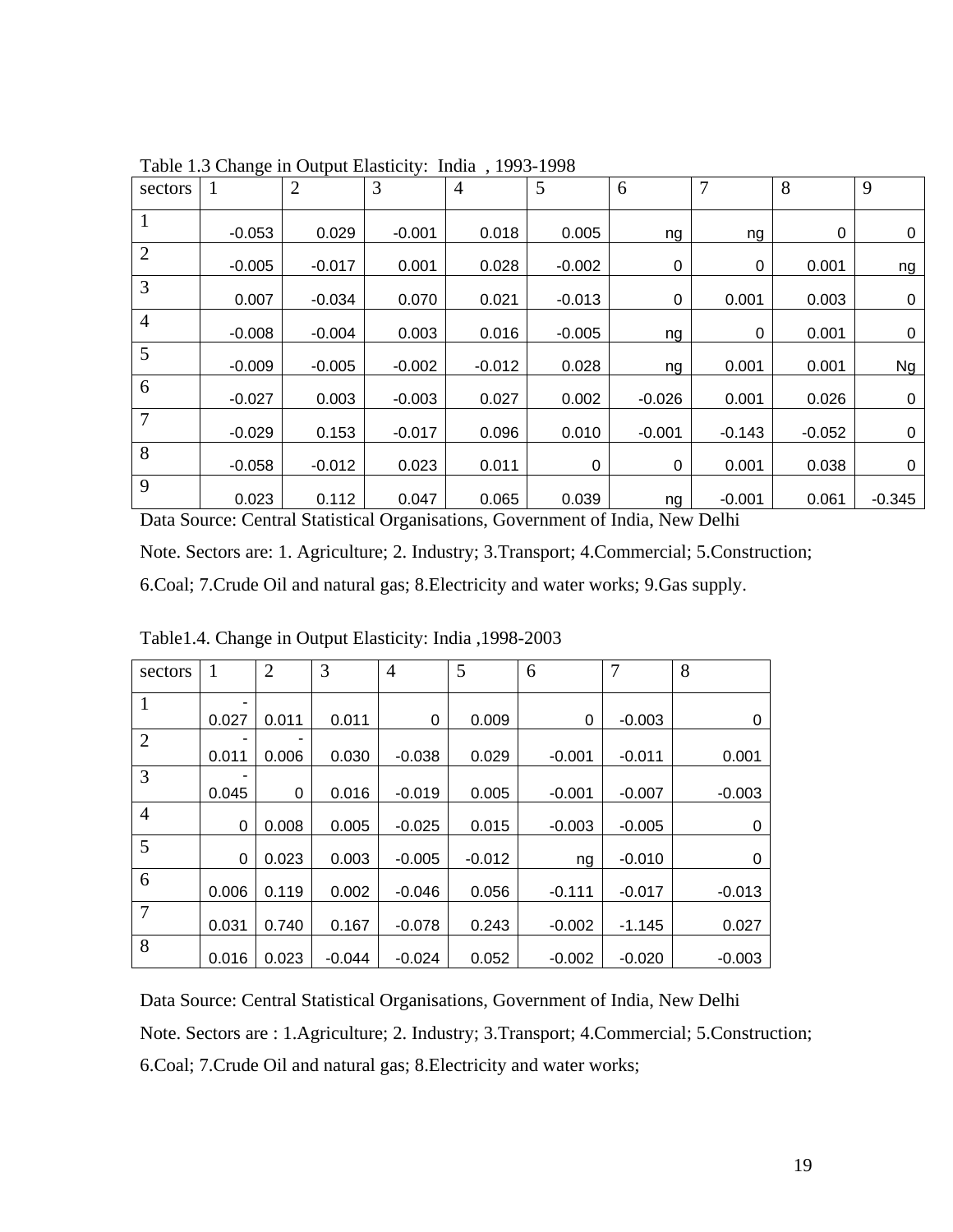| sectors        |          | $\overline{2}$ | 3        | $\overline{4}$ | 5        | 6        | 7           | 8        | 9           |
|----------------|----------|----------------|----------|----------------|----------|----------|-------------|----------|-------------|
| 1              | $-0.053$ | 0.029          | $-0.001$ | 0.018          | 0.005    | ng       | ng          | 0        | $\mathbf 0$ |
| $\overline{2}$ | $-0.005$ | $-0.017$       | 0.001    | 0.028          | $-0.002$ | 0        | 0           | 0.001    | ng          |
| 3              | 0.007    | $-0.034$       | 0.070    | 0.021          | $-0.013$ | 0        | 0.001       | 0.003    | $\mathbf 0$ |
| $\overline{4}$ | $-0.008$ | $-0.004$       | 0.003    | 0.016          | $-0.005$ | ng       | $\mathbf 0$ | 0.001    | $\mathbf 0$ |
| 5              | $-0.009$ | $-0.005$       | $-0.002$ | $-0.012$       | 0.028    | ng       | 0.001       | 0.001    | <b>Ng</b>   |
| 6              | $-0.027$ | 0.003          | $-0.003$ | 0.027          | 0.002    | $-0.026$ | 0.001       | 0.026    | 0           |
| 7              | $-0.029$ | 0.153          | $-0.017$ | 0.096          | 0.010    | $-0.001$ | $-0.143$    | $-0.052$ | $\mathbf 0$ |
| 8              | $-0.058$ | $-0.012$       | 0.023    | 0.011          | 0        | 0        | 0.001       | 0.038    | 0           |
| 9              | 0.023    | 0.112          | 0.047    | 0.065          | 0.039    | ng       | $-0.001$    | 0.061    | $-0.345$    |

Table 1.3 Change in Output Elasticity: India , 1993-1998

Data Source: Central Statistical Organisations, Government of India, New Delhi Note. Sectors are: 1. Agriculture; 2. Industry; 3.Transport; 4.Commercial; 5.Construction; 6.Coal; 7.Crude Oil and natural gas; 8.Electricity and water works; 9.Gas supply.

| sectors        | 1                        | $\overline{2}$ | 3        | $\overline{4}$ | 5        | 6        | $\overline{7}$ | 8        |
|----------------|--------------------------|----------------|----------|----------------|----------|----------|----------------|----------|
|                |                          |                |          |                |          |          |                |          |
|                | 0.027                    | 0.011          | 0.011    | 0              | 0.009    | 0        | $-0.003$       | 0        |
| $\overline{2}$ |                          |                |          |                |          |          |                |          |
|                | 0.011                    | 0.006          | 0.030    | $-0.038$       | 0.029    | $-0.001$ | $-0.011$       | 0.001    |
| $\overline{3}$ | $\overline{\phantom{0}}$ |                |          |                |          |          |                |          |
|                | 0.045                    | 0              | 0.016    | $-0.019$       | 0.005    | $-0.001$ | $-0.007$       | $-0.003$ |
| $\overline{4}$ |                          |                |          |                |          |          |                |          |
|                | 0                        | 0.008          | 0.005    | $-0.025$       | 0.015    | $-0.003$ | $-0.005$       | 0        |
| 5              | 0                        | 0.023          | 0.003    | $-0.005$       | $-0.012$ | ng       | $-0.010$       | 0        |
| 6              | 0.006                    | 0.119          | 0.002    | $-0.046$       | 0.056    | $-0.111$ | $-0.017$       | $-0.013$ |
|                |                          |                |          |                |          |          |                |          |
| $\overline{7}$ | 0.031                    | 0.740          | 0.167    | $-0.078$       | 0.243    | $-0.002$ | $-1.145$       | 0.027    |
| 8              | 0.016                    | 0.023          | $-0.044$ | $-0.024$       | 0.052    | $-0.002$ | $-0.020$       | $-0.003$ |

Table1.4. Change in Output Elasticity: India ,1998-2003

Data Source: Central Statistical Organisations, Government of India, New Delhi Note. Sectors are : 1.Agriculture; 2. Industry; 3.Transport; 4.Commercial; 5.Construction; 6.Coal; 7.Crude Oil and natural gas; 8.Electricity and water works;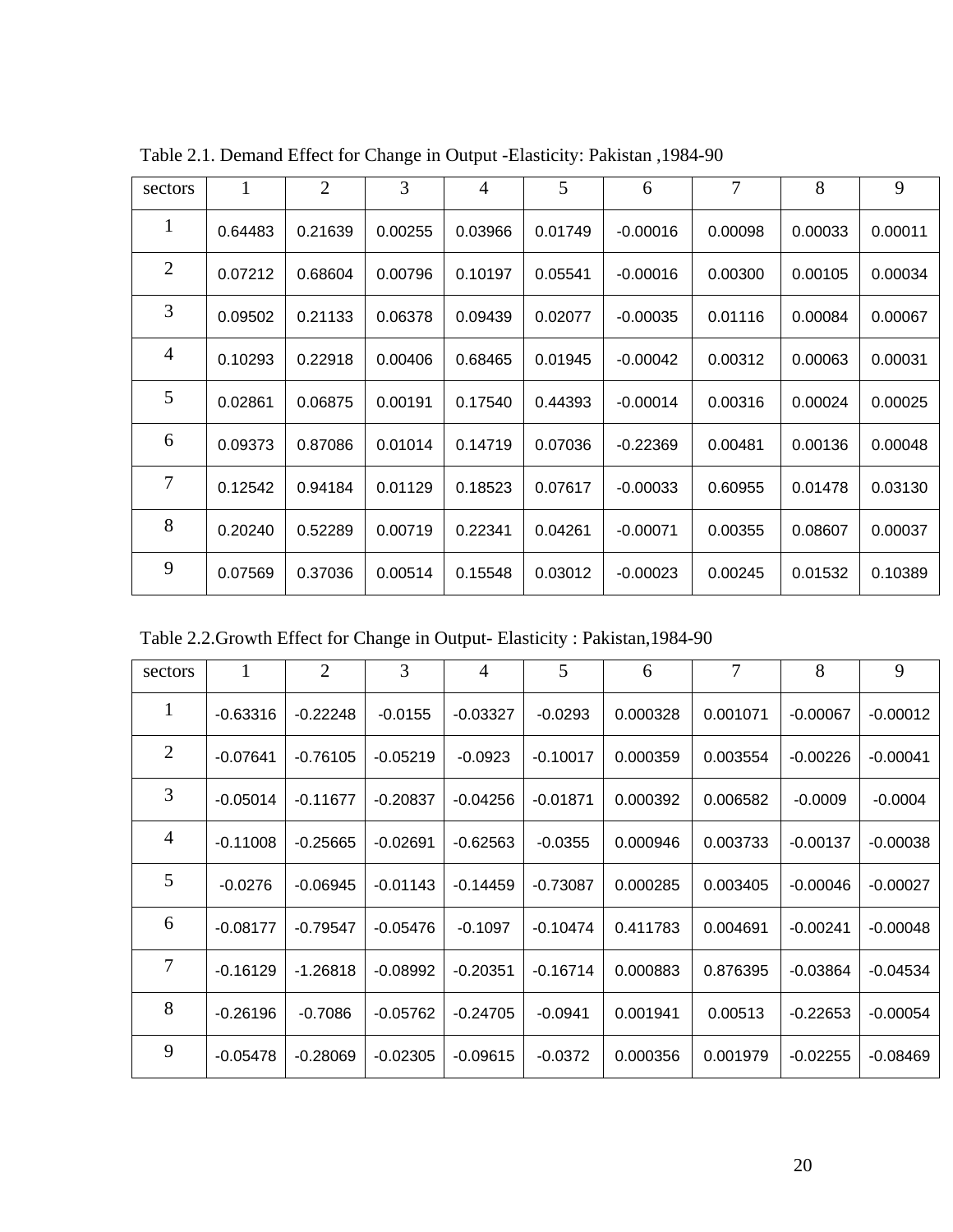| sectors        | 1       | $\overline{2}$ | 3       | $\overline{4}$ | 5       | 6          | $\overline{7}$ | 8       | 9       |
|----------------|---------|----------------|---------|----------------|---------|------------|----------------|---------|---------|
| $\mathbf{1}$   | 0.64483 | 0.21639        | 0.00255 | 0.03966        | 0.01749 | $-0.00016$ | 0.00098        | 0.00033 | 0.00011 |
| $\overline{2}$ | 0.07212 | 0.68604        | 0.00796 | 0.10197        | 0.05541 | $-0.00016$ | 0.00300        | 0.00105 | 0.00034 |
| 3              | 0.09502 | 0.21133        | 0.06378 | 0.09439        | 0.02077 | $-0.00035$ | 0.01116        | 0.00084 | 0.00067 |
| $\overline{4}$ | 0.10293 | 0.22918        | 0.00406 | 0.68465        | 0.01945 | $-0.00042$ | 0.00312        | 0.00063 | 0.00031 |
| 5              | 0.02861 | 0.06875        | 0.00191 | 0.17540        | 0.44393 | $-0.00014$ | 0.00316        | 0.00024 | 0.00025 |
| 6              | 0.09373 | 0.87086        | 0.01014 | 0.14719        | 0.07036 | $-0.22369$ | 0.00481        | 0.00136 | 0.00048 |
| 7              | 0.12542 | 0.94184        | 0.01129 | 0.18523        | 0.07617 | $-0.00033$ | 0.60955        | 0.01478 | 0.03130 |
| 8              | 0.20240 | 0.52289        | 0.00719 | 0.22341        | 0.04261 | $-0.00071$ | 0.00355        | 0.08607 | 0.00037 |
| 9              | 0.07569 | 0.37036        | 0.00514 | 0.15548        | 0.03012 | $-0.00023$ | 0.00245        | 0.01532 | 0.10389 |

Table 2.1. Demand Effect for Change in Output -Elasticity: Pakistan ,1984-90

Table 2.2.Growth Effect for Change in Output- Elasticity : Pakistan,1984-90

| sectors        | 1          | $\overline{2}$ | 3          | 4          | 5          | 6        | $\overline{7}$ | 8          | 9          |
|----------------|------------|----------------|------------|------------|------------|----------|----------------|------------|------------|
| $\mathbf{1}$   | $-0.63316$ | $-0.22248$     | $-0.0155$  | $-0.03327$ | $-0.0293$  | 0.000328 | 0.001071       | $-0.00067$ | $-0.00012$ |
| 2              | $-0.07641$ | $-0.76105$     | $-0.05219$ | $-0.0923$  | $-0.10017$ | 0.000359 | 0.003554       | $-0.00226$ | $-0.00041$ |
| 3              | $-0.05014$ | $-0.11677$     | $-0.20837$ | $-0.04256$ | $-0.01871$ | 0.000392 | 0.006582       | $-0.0009$  | $-0.0004$  |
| 4              | $-0.11008$ | $-0.25665$     | $-0.02691$ | $-0.62563$ | $-0.0355$  | 0.000946 | 0.003733       | $-0.00137$ | $-0.00038$ |
| 5              | $-0.0276$  | $-0.06945$     | $-0.01143$ | $-0.14459$ | $-0.73087$ | 0.000285 | 0.003405       | $-0.00046$ | $-0.00027$ |
| 6              | $-0.08177$ | $-0.79547$     | $-0.05476$ | $-0.1097$  | $-0.10474$ | 0.411783 | 0.004691       | $-0.00241$ | $-0.00048$ |
| $\overline{7}$ | $-0.16129$ | $-1.26818$     | $-0.08992$ | $-0.20351$ | $-0.16714$ | 0.000883 | 0.876395       | $-0.03864$ | $-0.04534$ |
| 8              | $-0.26196$ | $-0.7086$      | $-0.05762$ | $-0.24705$ | $-0.0941$  | 0.001941 | 0.00513        | $-0.22653$ | $-0.00054$ |
| 9              | $-0.05478$ | $-0.28069$     | $-0.02305$ | $-0.09615$ | $-0.0372$  | 0.000356 | 0.001979       | $-0.02255$ | $-0.08469$ |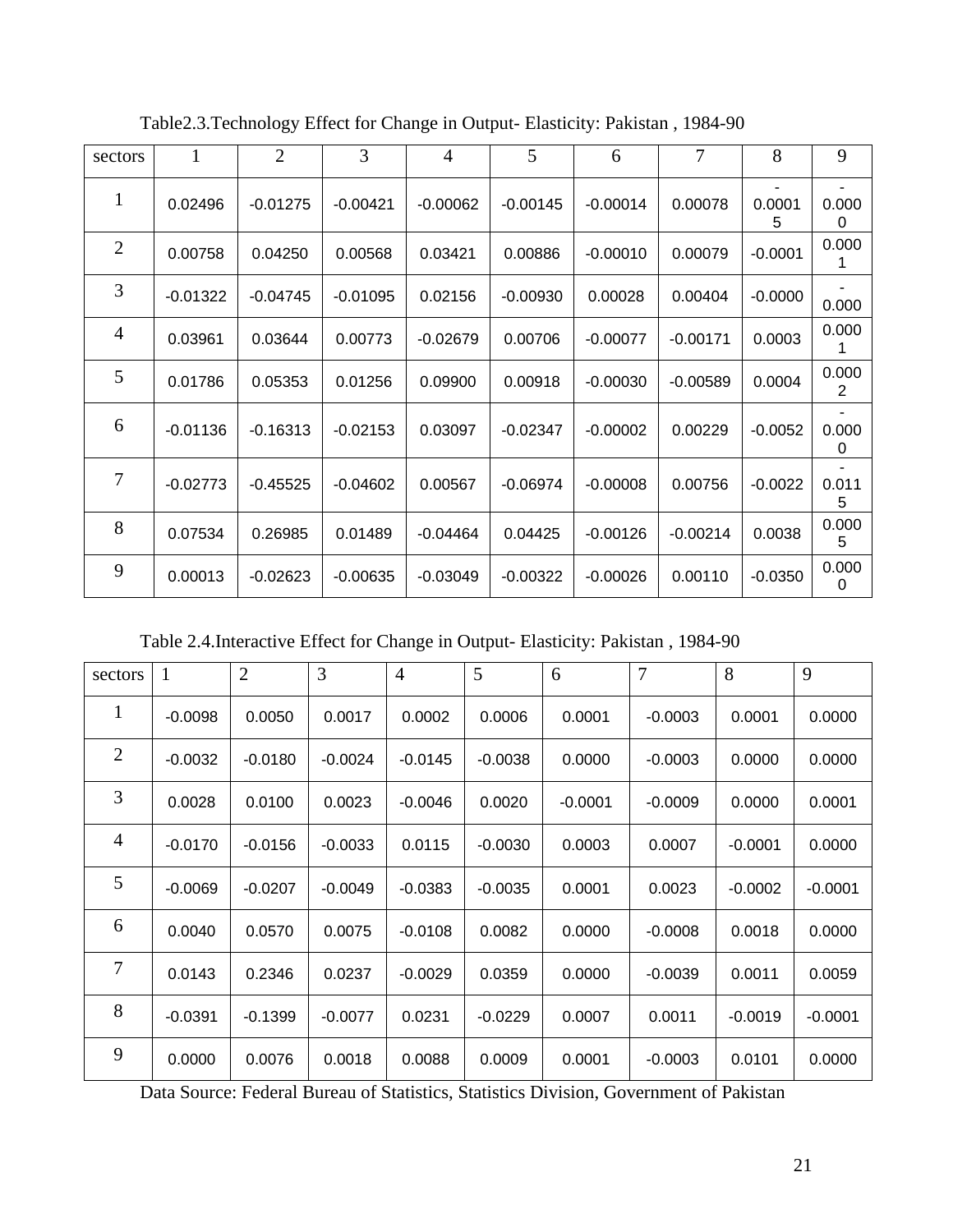| sectors        | 1          | $\overline{2}$ | 3          | $\overline{4}$ | 5          | 6          | $\overline{7}$ | 8           | 9          |
|----------------|------------|----------------|------------|----------------|------------|------------|----------------|-------------|------------|
| $\mathbf{1}$   | 0.02496    | $-0.01275$     | $-0.00421$ | $-0.00062$     | $-0.00145$ | $-0.00014$ | 0.00078        | 0.0001<br>5 | 0.000<br>0 |
| $\overline{2}$ | 0.00758    | 0.04250        | 0.00568    | 0.03421        | 0.00886    | $-0.00010$ | 0.00079        | $-0.0001$   | 0.000<br>1 |
| 3              | $-0.01322$ | $-0.04745$     | $-0.01095$ | 0.02156        | $-0.00930$ | 0.00028    | 0.00404        | $-0.0000$   | 0.000      |
| $\overline{4}$ | 0.03961    | 0.03644        | 0.00773    | $-0.02679$     | 0.00706    | $-0.00077$ | $-0.00171$     | 0.0003      | 0.000<br>1 |
| 5              | 0.01786    | 0.05353        | 0.01256    | 0.09900        | 0.00918    | $-0.00030$ | $-0.00589$     | 0.0004      | 0.000<br>2 |
| 6              | $-0.01136$ | $-0.16313$     | $-0.02153$ | 0.03097        | $-0.02347$ | $-0.00002$ | 0.00229        | $-0.0052$   | 0.000<br>0 |
| 7              | $-0.02773$ | $-0.45525$     | $-0.04602$ | 0.00567        | $-0.06974$ | $-0.00008$ | 0.00756        | $-0.0022$   | 0.011<br>5 |
| 8              | 0.07534    | 0.26985        | 0.01489    | $-0.04464$     | 0.04425    | $-0.00126$ | $-0.00214$     | 0.0038      | 0.000<br>5 |
| 9              | 0.00013    | $-0.02623$     | $-0.00635$ | $-0.03049$     | $-0.00322$ | $-0.00026$ | 0.00110        | $-0.0350$   | 0.000<br>0 |

Table2.3.Technology Effect for Change in Output- Elasticity: Pakistan , 1984-90

Table 2.4.Interactive Effect for Change in Output- Elasticity: Pakistan , 1984-90

| sectors        | 1         | $\overline{2}$ | 3         | $\overline{4}$ | 5         | 6         | 7         | 8         | 9         |
|----------------|-----------|----------------|-----------|----------------|-----------|-----------|-----------|-----------|-----------|
| $\mathbf{1}$   | $-0.0098$ | 0.0050         | 0.0017    | 0.0002         | 0.0006    | 0.0001    | $-0.0003$ | 0.0001    | 0.0000    |
| $\overline{2}$ | $-0.0032$ | $-0.0180$      | $-0.0024$ | $-0.0145$      | $-0.0038$ | 0.0000    | $-0.0003$ | 0.0000    | 0.0000    |
| 3              | 0.0028    | 0.0100         | 0.0023    | $-0.0046$      | 0.0020    | $-0.0001$ | $-0.0009$ | 0.0000    | 0.0001    |
| $\overline{4}$ | $-0.0170$ | $-0.0156$      | $-0.0033$ | 0.0115         | $-0.0030$ | 0.0003    | 0.0007    | $-0.0001$ | 0.0000    |
| 5              | $-0.0069$ | $-0.0207$      | $-0.0049$ | $-0.0383$      | $-0.0035$ | 0.0001    | 0.0023    | $-0.0002$ | $-0.0001$ |
| 6              | 0.0040    | 0.0570         | 0.0075    | $-0.0108$      | 0.0082    | 0.0000    | $-0.0008$ | 0.0018    | 0.0000    |
| 7              | 0.0143    | 0.2346         | 0.0237    | $-0.0029$      | 0.0359    | 0.0000    | $-0.0039$ | 0.0011    | 0.0059    |
| 8              | $-0.0391$ | $-0.1399$      | $-0.0077$ | 0.0231         | $-0.0229$ | 0.0007    | 0.0011    | $-0.0019$ | $-0.0001$ |
| 9              | 0.0000    | 0.0076         | 0.0018    | 0.0088         | 0.0009    | 0.0001    | $-0.0003$ | 0.0101    | 0.0000    |

Data Source: Federal Bureau of Statistics, Statistics Division, Government of Pakistan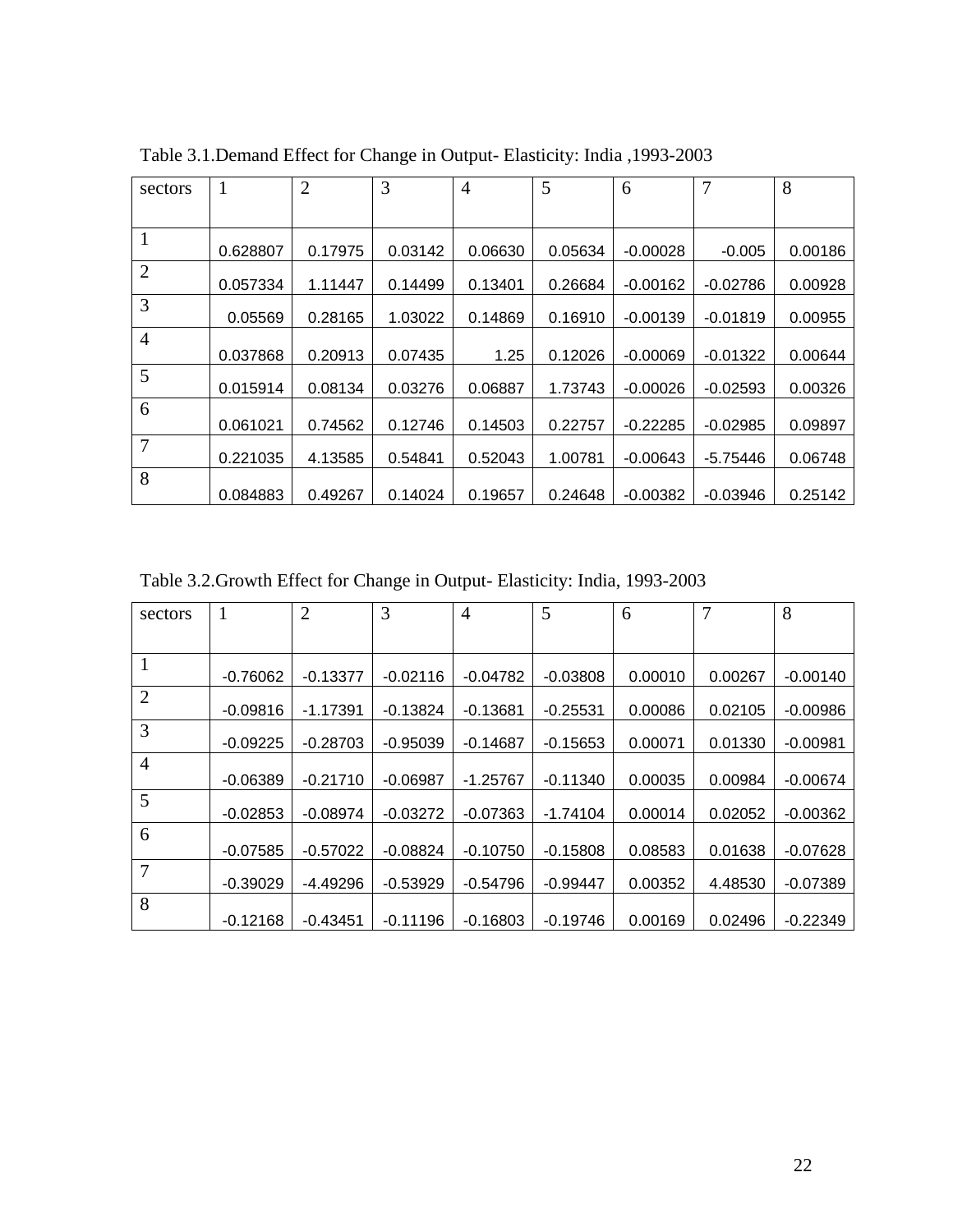| sectors        |          | $\overline{2}$ | 3       | $\overline{4}$ | 5       | 6          | 7          | 8       |
|----------------|----------|----------------|---------|----------------|---------|------------|------------|---------|
|                |          |                |         |                |         |            |            |         |
|                | 0.628807 | 0.17975        | 0.03142 | 0.06630        | 0.05634 | $-0.00028$ | $-0.005$   | 0.00186 |
| $\overline{2}$ | 0.057334 | 1.11447        | 0.14499 | 0.13401        | 0.26684 | $-0.00162$ | $-0.02786$ | 0.00928 |
| 3              | 0.05569  | 0.28165        | 1.03022 | 0.14869        | 0.16910 | $-0.00139$ | $-0.01819$ | 0.00955 |
| $\overline{4}$ | 0.037868 | 0.20913        | 0.07435 | 1.25           | 0.12026 | $-0.00069$ | $-0.01322$ | 0.00644 |
| 5              | 0.015914 | 0.08134        | 0.03276 | 0.06887        | 1.73743 | $-0.00026$ | $-0.02593$ | 0.00326 |
| 6              | 0.061021 | 0.74562        | 0.12746 | 0.14503        | 0.22757 | $-0.22285$ | $-0.02985$ | 0.09897 |
| 7              | 0.221035 | 4.13585        | 0.54841 | 0.52043        | 1.00781 | $-0.00643$ | $-5.75446$ | 0.06748 |
| 8              | 0.084883 | 0.49267        | 0.14024 | 0.19657        | 0.24648 | $-0.00382$ | $-0.03946$ | 0.25142 |

Table 3.1.Demand Effect for Change in Output- Elasticity: India ,1993-2003

Table 3.2.Growth Effect for Change in Output- Elasticity: India, 1993-2003

| sectors        | $\mathbf{1}$ | $\overline{2}$ | 3          | $\overline{4}$ | 5          | 6       | 7       | 8          |
|----------------|--------------|----------------|------------|----------------|------------|---------|---------|------------|
|                |              |                |            |                |            |         |         |            |
|                | $-0.76062$   | $-0.13377$     | $-0.02116$ | $-0.04782$     | $-0.03808$ | 0.00010 | 0.00267 | $-0.00140$ |
| $\overline{2}$ | $-0.09816$   | $-1.17391$     | $-0.13824$ | $-0.13681$     | $-0.25531$ | 0.00086 | 0.02105 | $-0.00986$ |
| 3              | $-0.09225$   | $-0.28703$     | $-0.95039$ | $-0.14687$     | $-0.15653$ | 0.00071 | 0.01330 | $-0.00981$ |
| $\overline{4}$ | $-0.06389$   | $-0.21710$     | $-0.06987$ | $-1.25767$     | $-0.11340$ | 0.00035 | 0.00984 | $-0.00674$ |
| 5              | $-0.02853$   | $-0.08974$     | $-0.03272$ | $-0.07363$     | $-1.74104$ | 0.00014 | 0.02052 | $-0.00362$ |
| 6              | $-0.07585$   | $-0.57022$     | $-0.08824$ | $-0.10750$     | $-0.15808$ | 0.08583 | 0.01638 | $-0.07628$ |
| $\overline{7}$ | $-0.39029$   | $-4.49296$     | $-0.53929$ | $-0.54796$     | $-0.99447$ | 0.00352 | 4.48530 | $-0.07389$ |
| 8              | $-0.12168$   | $-0.43451$     | $-0.11196$ | $-0.16803$     | $-0.19746$ | 0.00169 | 0.02496 | $-0.22349$ |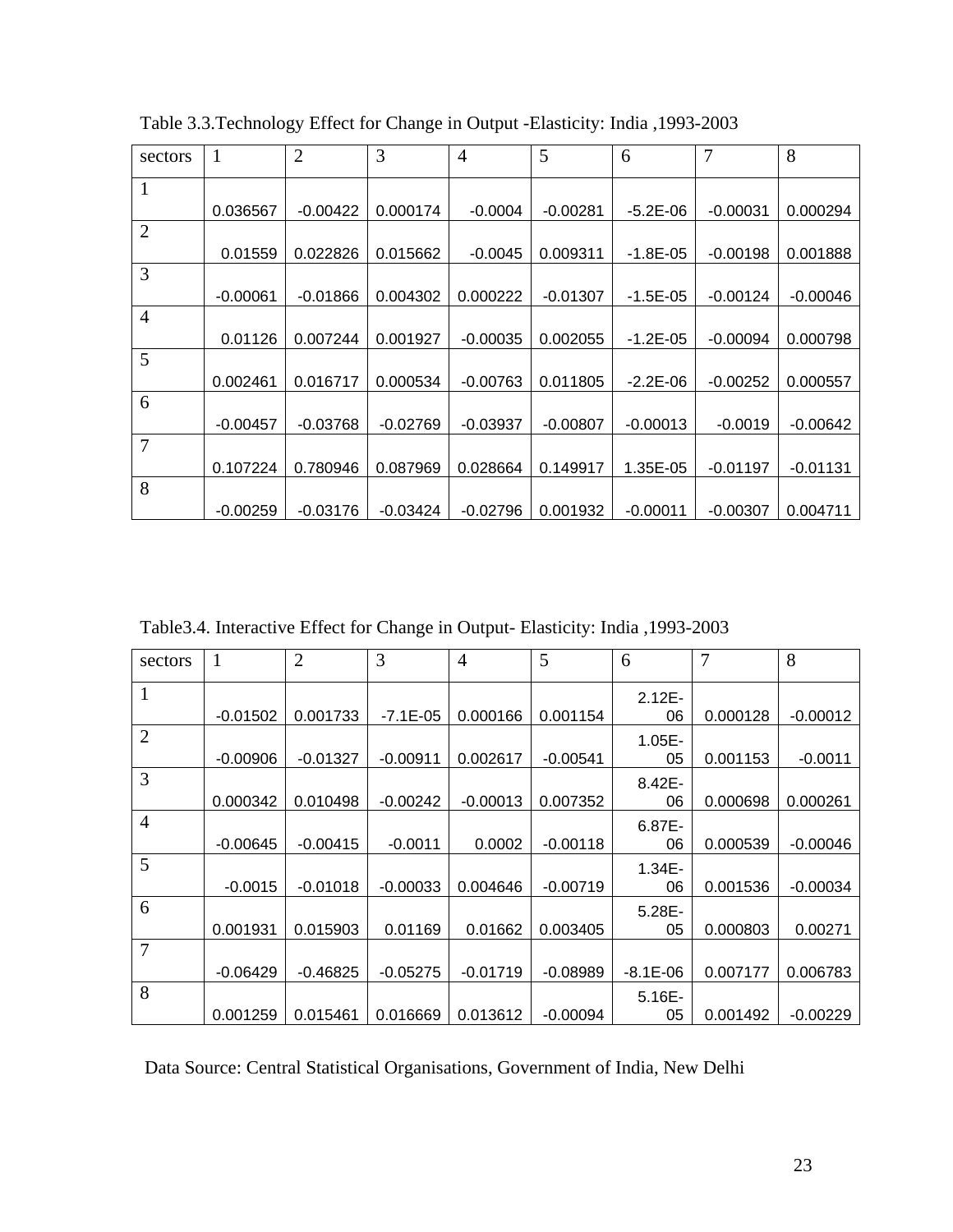| sectors        | $\mathbf{1}$ | $\overline{2}$ | 3          | $\overline{4}$ | 5          | 6            | 7          | 8          |
|----------------|--------------|----------------|------------|----------------|------------|--------------|------------|------------|
|                |              |                |            |                |            |              |            |            |
| 1              |              |                |            |                |            |              |            |            |
|                | 0.036567     | $-0.00422$     | 0.000174   | $-0.0004$      | $-0.00281$ | $-5.2E - 06$ | $-0.00031$ | 0.000294   |
| $\overline{2}$ |              |                |            |                |            |              |            |            |
|                | 0.01559      | 0.022826       | 0.015662   | $-0.0045$      | 0.009311   | -1.8E-05     | $-0.00198$ | 0.001888   |
| 3              |              |                |            |                |            |              |            |            |
|                | $-0.00061$   | $-0.01866$     | 0.004302   | 0.000222       | $-0.01307$ | -1.5E-05     | $-0.00124$ | $-0.00046$ |
| $\overline{4}$ |              |                |            |                |            |              |            |            |
|                | 0.01126      | 0.007244       | 0.001927   | $-0.00035$     | 0.002055   | $-1.2E - 05$ | $-0.00094$ | 0.000798   |
| 5              |              |                |            |                |            |              |            |            |
|                | 0.002461     | 0.016717       | 0.000534   | $-0.00763$     | 0.011805   | $-2.2E - 06$ | $-0.00252$ | 0.000557   |
| 6              |              |                |            |                |            |              |            |            |
|                | $-0.00457$   | $-0.03768$     | $-0.02769$ | $-0.03937$     | $-0.00807$ | $-0.00013$   | $-0.0019$  | $-0.00642$ |
| $\overline{7}$ |              |                |            |                |            |              |            |            |
|                | 0.107224     | 0.780946       | 0.087969   | 0.028664       | 0.149917   | 1.35E-05     | $-0.01197$ | $-0.01131$ |
| 8              |              |                |            |                |            |              |            |            |
|                | $-0.00259$   | $-0.03176$     | -0.03424   | -0.02796       | 0.001932   | $-0.00011$   | $-0.00307$ | 0.004711   |

Table 3.3.Technology Effect for Change in Output -Elasticity: India ,1993-2003

Table3.4. Interactive Effect for Change in Output- Elasticity: India ,1993-2003

| sectors        | 1          | $\overline{2}$ | 3            | $\overline{4}$ | 5          | 6            | $\overline{7}$ | 8          |
|----------------|------------|----------------|--------------|----------------|------------|--------------|----------------|------------|
| $\mathbf{1}$   |            |                |              |                |            | $2.12E -$    |                |            |
|                | $-0.01502$ | 0.001733       | $-7.1E - 05$ | 0.000166       | 0.001154   | 06           | 0.000128       | $-0.00012$ |
| $\overline{2}$ |            |                |              |                |            | $1.05E -$    |                |            |
|                | $-0.00906$ | $-0.01327$     | $-0.00911$   | 0.002617       | $-0.00541$ | 05           | 0.001153       | $-0.0011$  |
| 3              |            |                |              |                |            | 8.42E-       |                |            |
|                | 0.000342   | 0.010498       | $-0.00242$   | $-0.00013$     | 0.007352   | 06           | 0.000698       | 0.000261   |
| $\overline{4}$ |            |                |              |                |            | 6.87E-       |                |            |
|                | $-0.00645$ | $-0.00415$     | $-0.0011$    | 0.0002         | $-0.00118$ | 06           | 0.000539       | $-0.00046$ |
| 5              |            |                |              |                |            | $1.34E -$    |                |            |
|                | $-0.0015$  | $-0.01018$     | $-0.00033$   | 0.004646       | $-0.00719$ | 06           | 0.001536       | $-0.00034$ |
| 6              |            |                |              |                |            | $5.28E -$    |                |            |
|                | 0.001931   | 0.015903       | 0.01169      | 0.01662        | 0.003405   | 05           | 0.000803       | 0.00271    |
| $\overline{7}$ |            |                |              |                |            |              |                |            |
|                | $-0.06429$ | $-0.46825$     | $-0.05275$   | $-0.01719$     | $-0.08989$ | $-8.1E - 06$ | 0.007177       | 0.006783   |
| 8              |            |                |              |                |            | $5.16E -$    |                |            |
|                | 0.001259   | 0.015461       | 0.016669     | 0.013612       | $-0.00094$ | 05           | 0.001492       | $-0.00229$ |

Data Source: Central Statistical Organisations, Government of India, New Delhi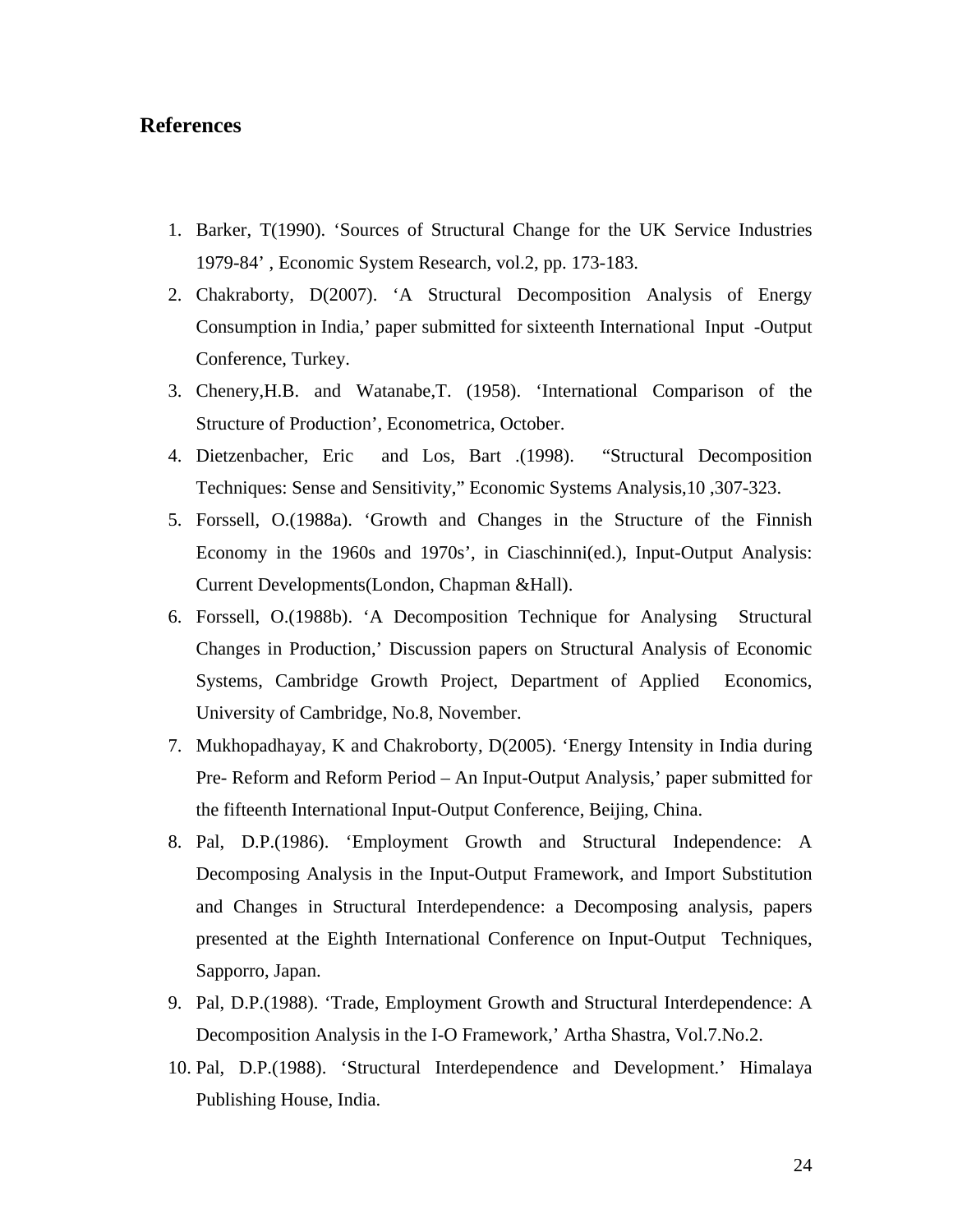## **References**

- 1. Barker, T(1990). 'Sources of Structural Change for the UK Service Industries 1979-84' , Economic System Research, vol.2, pp. 173-183.
- 2. Chakraborty, D(2007). 'A Structural Decomposition Analysis of Energy Consumption in India,' paper submitted for sixteenth International Input -Output Conference, Turkey.
- 3. Chenery,H.B. and Watanabe,T. (1958). 'International Comparison of the Structure of Production', Econometrica, October.
- 4. Dietzenbacher, Eric and Los, Bart .(1998). "Structural Decomposition Techniques: Sense and Sensitivity," Economic Systems Analysis,10 ,307-323.
- 5. Forssell, O.(1988a). 'Growth and Changes in the Structure of the Finnish Economy in the 1960s and 1970s', in Ciaschinni(ed.), Input-Output Analysis: Current Developments(London, Chapman &Hall).
- 6. Forssell, O.(1988b). 'A Decomposition Technique for Analysing Structural Changes in Production,' Discussion papers on Structural Analysis of Economic Systems, Cambridge Growth Project, Department of Applied Economics, University of Cambridge, No.8, November.
- 7. Mukhopadhayay, K and Chakroborty, D(2005). 'Energy Intensity in India during Pre- Reform and Reform Period – An Input-Output Analysis,' paper submitted for the fifteenth International Input-Output Conference, Beijing, China.
- 8. Pal, D.P.(1986). 'Employment Growth and Structural Independence: A Decomposing Analysis in the Input-Output Framework, and Import Substitution and Changes in Structural Interdependence: a Decomposing analysis, papers presented at the Eighth International Conference on Input-Output Techniques, Sapporro, Japan.
- 9. Pal, D.P.(1988). 'Trade, Employment Growth and Structural Interdependence: A Decomposition Analysis in the I-O Framework,' Artha Shastra, Vol.7.No.2.
- 10. Pal, D.P.(1988). 'Structural Interdependence and Development.' Himalaya Publishing House, India.